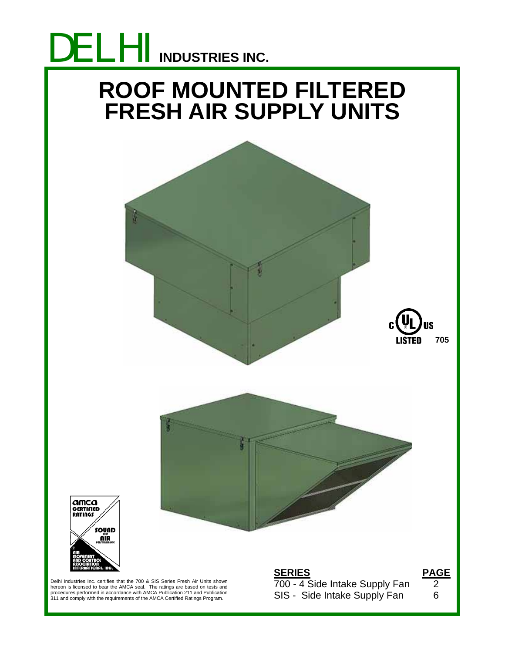

# **ROOF MOUNTED FILTERED FRESH AIR SUPPLY UNITS**







Delhi Industries Inc. certifies that the 700 & SIS Series Fresh Air Units shown hereon is licensed to bear the AMCA seal. The ratings are based on tests and<br>procedures performed in accordance with AMCA Publication 211 and Publication<br>311 and comply with the requirements of the AMCA Certified Ratings

**SERIES PAGE** 700 - 4 Side Intake Supply Fan 2 SIS - Side Intake Supply Fan 6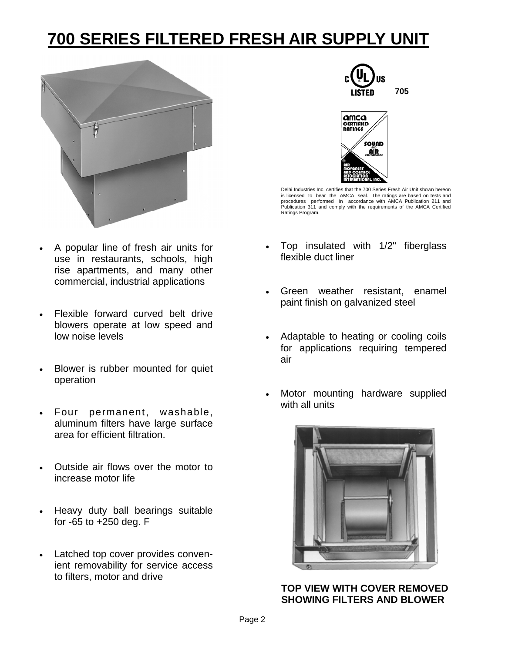## **700 SERIES FILTERED FRESH AIR SUPPLY UNIT**



- A popular line of fresh air units for use in restaurants, schools, high rise apartments, and many other commercial, industrial applications
- Flexible forward curved belt drive blowers operate at low speed and low noise levels
- Blower is rubber mounted for quiet operation
- Four permanent, washable, aluminum filters have large surface area for efficient filtration.
- Outside air flows over the motor to increase motor life
- Heavy duty ball bearings suitable for -65 to +250 deg. F
- Latched top cover provides convenient removability for service access to filters, motor and drive





Delhi Industries Inc. certifies that the 700 Series Fresh Air Unit shown hereon is licensed to bear the AMCA seal. The ratings are based on tests and<br>procedures performed in accordance with AMCA Publication 211 and<br>Publication 311 and comply with the requirements of the AMCA Certified Ratings Program.

- Top insulated with 1/2" fiberglass flexible duct liner
- Green weather resistant, enamel paint finish on galvanized steel
- Adaptable to heating or cooling coils for applications requiring tempered air
- Motor mounting hardware supplied with all units



**TOP VIEW WITH COVER REMOVED SHOWING FILTERS AND BLOWER**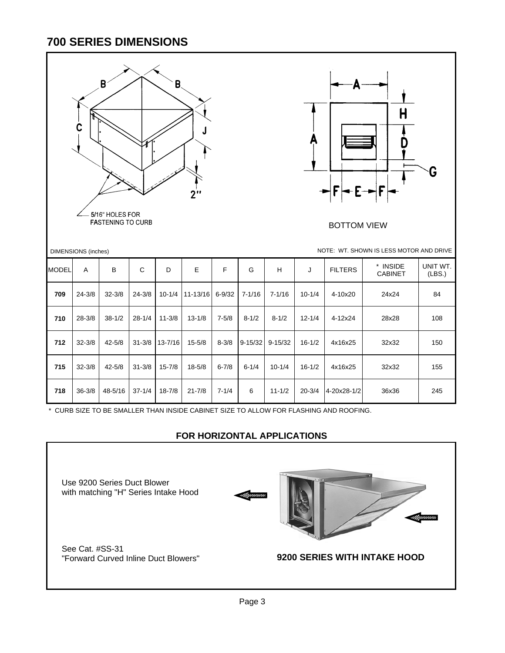#### **700 SERIES DIMENSIONS**

|              | C<br><b>DIMENSIONS</b> (inches) | $\pmb{\mathsf{B}}$<br>5/16" HOLES FOR<br><b>FASTENING TO CURB</b> |             | В,          | J<br>2"     |             |             |             | Ą          | А<br><b>BOTTOM VIEW</b>                                                               | H<br>NOTE: WT. SHOWN IS LESS MOTOR AND DRIVE | G                  |
|--------------|---------------------------------|-------------------------------------------------------------------|-------------|-------------|-------------|-------------|-------------|-------------|------------|---------------------------------------------------------------------------------------|----------------------------------------------|--------------------|
| <b>MODEL</b> | A                               | В                                                                 | $\mathsf C$ | D           | $\mathsf E$ | $\mathsf F$ | G           | H           | J          | <b>FILTERS</b>                                                                        | * INSIDE<br><b>CABINET</b>                   | UNIT WT.<br>(LBS.) |
| 709          | $24 - 3/8$                      | $32 - 3/8$                                                        | $24 - 3/8$  | $10 - 1/4$  | 11-13/16    | $6 - 9/32$  | $7 - 1/16$  | $7 - 1/16$  | $10 - 1/4$ | 4-10x20                                                                               | 24x24                                        | 84                 |
| 710          | $28 - 3/8$                      | $38 - 1/2$                                                        | $28 - 1/4$  | $11 - 3/8$  | $13 - 1/8$  | $7 - 5/8$   | $8 - 1/2$   | $8 - 1/2$   | $12 - 1/4$ | 4-12x24                                                                               | 28x28                                        | 108                |
| 712          | $32 - 3/8$                      | $42 - 5/8$                                                        | $31 - 3/8$  | $13 - 7/16$ | $15 - 5/8$  | $8 - 3/8$   | $9 - 15/32$ | $9 - 15/32$ | $16 - 1/2$ | 4x16x25                                                                               | 32x32                                        | 150                |
| 715          | $32 - 3/8$                      | $42 - 5/8$                                                        | $31 - 3/8$  | $15 - 7/8$  | $18 - 5/8$  | $6 - 7/8$   | $6 - 1/4$   | $10 - 1/4$  | $16 - 1/2$ | 4x16x25                                                                               | 32x32                                        | 155                |
| 718          | $36 - 3/8$                      | 48-5/16                                                           | $37 - 1/4$  | $18 - 7/8$  | $21 - 7/8$  | $7 - 1/4$   | 6           | $11 - 1/2$  | $20 - 3/4$ | 4-20x28-1/2                                                                           | 36x36                                        | 245                |
|              |                                 |                                                                   |             |             |             |             |             |             |            | * CURB SIZE TO BE SMALLER THAN INSIDE CABINET SIZE TO ALLOW FOR FLASHING AND ROOFING. |                                              |                    |

#### **FOR HORIZONTAL APPLICATIONS**

Use 9200 Series Duct Blower with matching "H" Series Intake Hood





See Cat. #SS-31<br>"Forward Curved Inline Duct Blowers"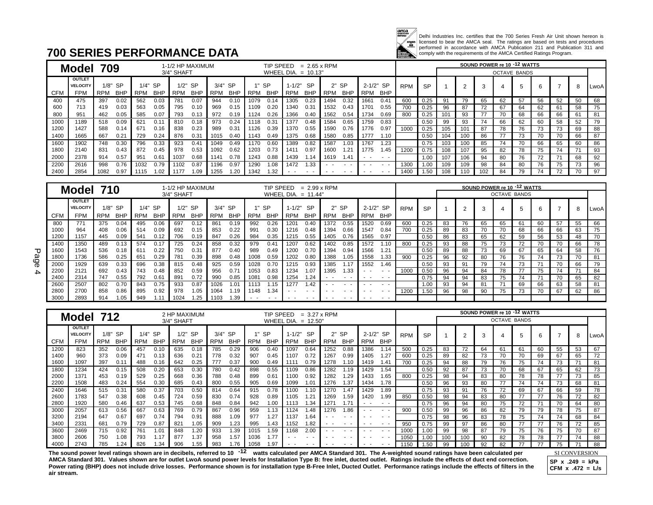

Delhi Industries Inc. certifies that the 700 Series Fresh Air Unit shown hereon is<br>licensed to bear the AMCA seal. The ratings are based on tests and procedures<br>performed in accordance with AMCA Publication 211 and Publica

### **700 SERIES PERFORMANCE DATA**

|      |                 | 709        |            |            |               |            | 1-1/2 HP MAXIMUM |            |            |      | TIP SPEED  |            |            | $= 2.65 \times$ RPM |               |      |               |            |           |     |     |    | SOUND POWER re 10 -12 WATTS |    |    |    |    |      |
|------|-----------------|------------|------------|------------|---------------|------------|------------------|------------|------------|------|------------|------------|------------|---------------------|---------------|------|---------------|------------|-----------|-----|-----|----|-----------------------------|----|----|----|----|------|
|      | Model           |            |            |            |               | 3/4" SHAFT |                  |            |            |      | WHEEL DIA. |            | $= 10.13"$ |                     |               |      |               |            |           |     |     |    | <b>OCTAVE BANDS</b>         |    |    |    |    |      |
|      | <b>OUTLET</b>   |            |            |            |               |            |                  |            |            |      |            |            |            |                     |               |      |               |            |           |     |     |    |                             |    |    |    |    |      |
|      | <b>VELOCITY</b> |            | $1/8"$ SP  |            | 1/4" SP       |            | $1/2"$ SP        | $3/4"$ SP  |            |      | -SP        | $1 - 1/2"$ | <b>SP</b>  |                     | $2"$ SP       |      | 2-1/2" SP     | <b>RPM</b> | <b>SP</b> |     |     | 3  |                             |    | 6  |    | 8  | LwoA |
| CFM  | <b>FPM</b>      | <b>RPM</b> | <b>BHP</b> | <b>RPM</b> | <b>BHP</b>    | <b>RPM</b> | <b>BHP</b>       | <b>RPM</b> | <b>BHP</b> | RPM  | <b>BHP</b> | <b>RPM</b> | <b>BHP</b> | RPM                 | <b>BHP</b>    | RPM  | <b>BHP</b>    |            |           |     |     |    |                             |    |    |    |    |      |
| 400  | 475             | 397        | 0.02       | 562        | 0.03          | 781        | 0.07             | 944        | 0.10       | 1079 | 0.14       | 1305       | 0.23       | 1494                | 0.32          | 1661 | 0.41          | 600        | 0.25      | 91  | 79  | 65 | 62                          | 57 | 56 | 52 | 50 | 68   |
| 600  | 713             | 419        | 0.03       | 563        | 0.05          | 795        | 0.10             | 969        | 0.15       | 1109 | 0.20       | 1340       | 0.31       | 1532                | 0.43          | 1701 | 0.55          | 700        | 0.25      | 96  | 87  | 72 | 67                          | 64 | 62 | 61 | 58 | 75   |
| 800  | 951             | 462        | 0.05       | 585        | 0.07          | 793        | 0.13             | 972        | 0.19       | 1124 | 0.26       | 1366       | 0.40       | 1562                | 0.54          | 1734 | 0.69          | 800        | 0.25      | 101 | 93  | 77 | 70                          | 68 | 66 | 66 | 61 | 81   |
| 1000 | 1189            | 518        | 0.09       | 621        | 0.1           | 810        | 0.18             | 973        | 0.24       | 1118 | 0.31       | 1377       | 0.48       | 1584                | 0.65          | 1759 | 0.83          |            | 0.50      | 99  | 93  | 74 | 66                          | 62 | 60 | 58 | 52 | 79   |
| 1200 | 1427            | 588        | 0.14       | 671        | 0.16          | 838        | 0.23             | 989        | 0.31       | 1126 | 0.39       | 1370       | 0.55       | 1590                | 0.76          | 1776 | 0.97          | 1000       | 0.25      | 105 | 101 | 87 | 78                          | 76 | 73 |    | 69 | 88   |
| 1400 | 1665            | 667        | 0.21       | 729        | 0.24          | 876        | 0.31             | 1015       | 0.40       | 1143 | 0.49       | 1375       | 0.68       | 1580                | 0.85          | 1777 | 1.10          |            | 0.50      | 104 | 100 | 86 |                             |    | 70 | 70 | 66 | 87   |
| 1600 | 1902            | 748        | 0.30       | 796        | 0.33          | 923        | 0.41             | 1049       | 0.49       | 1170 | 0.60       | 1389       | 0.82       | 1587                | 1.03          | 1767 | 1.23          |            | 0.75      | 103 | 100 | 85 | 74                          | 70 | 66 | 65 | 60 | 86   |
| 1800 | 2140            | 831        | 0.43       | 872        | 0.45          | 978        | 0.53             | 1092       | 0.62       | 1203 | 0.73       | 1411       | 0.97       | 1600                | 1.21          | 1775 | 1.45          | 1200       | 0.75      | 108 | 107 | 95 | 82                          | 78 | 75 | 74 | 71 | 93   |
| 2000 | 2378            | 914        | 0.57       | 951        | $0.6^{\circ}$ | 1037       | 0.68             | 1141       | 0.78       | 1243 | 0.88       | 1439       | 1.14       | 1619                | 1.41          |      | . .           |            | 1.00      | 107 | 106 | 94 | 80                          | 76 | 72 |    | 68 | 92   |
| 2200 | 2616            | 998        | 0.76       | 1032       | 0.79          | 1102       | 0.87             | 1196       | 0.97       | 1290 | 1.08       | 1472       | 1.33       |                     | $\sim$ $\sim$ | . .  | $\sim$ $\sim$ | 1300       | 1.00      | 109 | 109 | 98 | 84                          | 80 | 76 | 75 | 73 | 96   |
| 2400 | 2854            | 1082       | 0.97       | 1115       | .02           | 1177       | 09، ا            | 1255       | 1.20       | 1342 | .32        | $ -$       | $ -$       |                     | $ -$          |      | . .           | 1400       | 1.50      | 108 | 110 |    | 84                          | 79 | 74 |    | 70 | 97   |

|             | Model 710       |            |            |            |            |            | 1-1/2 HP MAXIMUM |            |            |            | TIP SPEED  |                       | $= 2.99 \times$ RPM |            |            |            |            |            |           |    |    |    | SOUND POWER re 10 -12 WATTS |    |    |    |    |      |
|-------------|-----------------|------------|------------|------------|------------|------------|------------------|------------|------------|------------|------------|-----------------------|---------------------|------------|------------|------------|------------|------------|-----------|----|----|----|-----------------------------|----|----|----|----|------|
|             |                 |            |            |            |            | 3/4" SHAFT |                  |            |            |            |            | WHEEL DIA. $= 11.44'$ |                     |            |            |            |            |            |           |    |    |    | <b>OCTAVE BANDS</b>         |    |    |    |    |      |
|             | <b>OUTLET</b>   |            |            |            |            |            |                  |            |            |            |            |                       |                     |            |            |            |            |            |           |    |    |    |                             |    |    |    |    |      |
|             | <b>VELOCITY</b> |            | $1/8"$ SP  |            | $1/4"$ SP  |            | $1/2"$ SP        | $3/4"$ SP  |            |            | -SP        | $1 - 1/2"$            | <b>SP</b>           |            | $2"$ SP    | $2 - 1/2"$ | <b>SP</b>  | <b>RPM</b> | <b>SP</b> |    |    | 3  |                             | 5  | 6  |    | 8  | LwoA |
| <b>CFM</b>  | <b>FPM</b>      | <b>RPM</b> | <b>BHP</b> | <b>RPM</b> | <b>BHP</b> | <b>RPM</b> | <b>BHP</b>       | <b>RPM</b> | <b>BHP</b> | <b>RPM</b> | <b>BHP</b> | <b>RPM</b>            | <b>BHP</b>          | <b>RPM</b> | <b>BHF</b> | <b>RPM</b> | <b>BHP</b> |            |           |    |    |    |                             |    |    |    |    |      |
| 800         | 771             | 375        | 0.04       | 495        | 0.06       | 697        | 0.12             | 861        | 0.19       | 992        | 0.26       | 1201                  | 0.40                | 1372       | 0.55       | 1520       | 0.69       | 600        | 0.25      | 83 | 76 | 65 | 65                          | 61 | 60 | 57 | 55 | 66   |
| 1000        | 964             | 408        | 0.06       | 514        | 0.09       | 692        | 0.15             | 853        | 0.22       | 991        | 0.30       | 1216                  | 0.48                | 1394       | 0.66       | 1547       | 0.84       | 700        | 0.25      | 89 | 83 | 70 | 70                          | 68 | 66 | 66 | 63 | 75   |
| 1200        | 1157            | 445        | 0.09       | 541        | 0.12       | 706        | 0.19             | 847        | 0.26       | 984        | 0.35       | 1215                  | 0.55                | 1405       | 0.76       | 1565       | 0.97       |            | 0.50      | 86 | 83 | 65 | 62                          | 59 | 56 | 53 | 48 | 70   |
| 1400        | 1350            | 489        | 0.13       | 574        | 0.17       | 725        | 0.24             | 858        | 0.32       | 979        | 0.41       | 1207                  | 0.62                | 1402       | 0.85       | 1572       | 1.10       | 800        | 0.25      | 93 | 88 | 75 | 73                          | 72 | 70 | 70 | 66 | 78   |
| 1600        | 1543            | 536        | 0.18       | 611        | 0.22       | 750        | 0.31             | 877        | 0.40       | 989        | 0.49       | 1200                  | 0.70                | 1394       | 0.94       | 1566       | 1.21       |            | 0.50      | 89 | 88 | 73 | 69                          | 67 | 65 | 64 | 58 | 76   |
| 1800        | 1736            | 586        | 0.25       | 651        | 0.29       | 781        | 0.39             | 898        | 0.48       | 1008       | 0.59       | 1202                  | 0.80                | 1388       | 1.05       | 1558       | 1.33       | 900        | 0.25      | 96 | 92 | 80 | 76                          | 76 | 74 | 73 | 70 | 81   |
| 2000        | 1929            | 639        | 0.33       | 696        | 0.38       | 815        | 0.48             | 925        | 0.59       | 1028       | 0.70       | 1215                  | 0.93                | 1385       | 1.17       | 1552       | 1.46       |            | 0.50      | 93 | 91 | 79 | 74                          | 73 |    | 70 | 66 | 79   |
| 2200        | 2121            | 692        | 0.43       | 743        | 0.48       | 852        | 0.59             | 956        | 0.71       | 1053       | 0.83       | 1234                  | 1.07                | 1395       | 1.33       | $ -$       | $ -$       | 1000       | 0.50      | 96 | 94 | 84 | 78                          |    | 75 | 74 | 71 | 84   |
| 2400        | 2314            | 747        | 0.55       | 792        | 0.61       | 891        | 0.72             | 990        | 0.85       | 1081       | 0.98       | 1254                  | 1.24                |            |            | . .        | $ -$       |            | 0.75      | 94 | 94 | 83 | 75                          | 74 | 71 | 70 | 65 | 82   |
| 2600        | 2507            | 802        | 0.70       | 843        | 0.75       | 933        | 0.87             | 1026       | 1.01       | 1113       | .15        | 1277                  | 1.42                |            |            |            | . .        |            | 1.00      | 93 | 94 | 81 |                             | 69 | 66 | 63 | 58 | 81   |
| <b>2800</b> | 2700            | 858        | 0.86       | 895        | 0.92       | 978        | 1.05             | 1064       | 1.19       | 1148       | 1.34       |                       |                     |            | . .        | . .        | . .        | 1200       | .50       | 96 | 98 | 90 | 75                          | 73 | 70 | 67 | 62 | 86   |
| 3000        | 2893            | 914        | 1.05       | 949        |            | 1024       | .25              | 1103       | .39        |            |            |                       |                     |            |            | . .        | . .        |            |           |    |    |    |                             |    |    |    |    |      |

|            | Model 712       |            |            |            |            | 2 HP MAXIMUM |                |            |            |      | TIP SPEED              |            | $= 3.27 \times$ RPM |            |            |            |            |            |           |    |    |    | SOUND POWER re 10 -12 WATTS |    |    |    |    |      |
|------------|-----------------|------------|------------|------------|------------|--------------|----------------|------------|------------|------|------------------------|------------|---------------------|------------|------------|------------|------------|------------|-----------|----|----|----|-----------------------------|----|----|----|----|------|
|            |                 |            |            |            |            | 3/4" SHAFT   |                |            |            |      | WHEEL DIA. $= 12.50$ " |            |                     |            |            |            |            |            |           |    |    |    | <b>OCTAVE BANDS</b>         |    |    |    |    |      |
|            | OUTLET          |            |            | $2"$ SP    |            |              |                |            |            |      |                        |            |                     |            |            |            |            |            |           |    |    |    |                             |    |    |    |    |      |
|            | <b>VELOCITY</b> | 1/8"       | -SP        | 1/4"       | <b>SP</b>  | 1/2"         | <b>SP</b>      | 3/4"       | <b>SP</b>  |      | -SP                    | 1-1/2"     | <b>SP</b>           |            |            | $2 - 1/2"$ | <b>SP</b>  | <b>RPM</b> | <b>SP</b> |    | C  | 3  |                             |    |    |    | 8  | LwoA |
| <b>CFM</b> | <b>FPM</b>      | <b>RPM</b> | <b>BHP</b> | <b>RPM</b> | <b>BHP</b> | RPM          | <b>BHP</b>     | <b>RPM</b> | <b>BHP</b> | RPM  | <b>BHP</b>             | <b>RPN</b> | <b>BHP</b>          | <b>RPM</b> | <b>BHP</b> | <b>RPM</b> | <b>BHP</b> |            |           |    |    |    |                             |    |    |    |    |      |
| 1200       | 823             | 352        | 0.06       | 457        | 0.10       | 635          | 0.18           | 785        | 0.29       | 906  | 0.40                   | 1097       | 0.64                | 1252       | 0.88       | 1386       | 1.14       | 500        | 0.25      | 83 | 72 | 64 | 61                          | 61 | 60 | 55 | 53 | 67   |
| 1400       | 960             | 373        | 0.09       | 471        | 0.13       | 636          | $0.2^{\prime}$ | 778        | 0.32       | 907  | 0.45                   | 1107       | 0.72                | 1267       | 0.99       | 1405       | 1.27       | 600        | 0.25      | 89 | 82 | 73 | 70                          | 70 | 69 | 67 | 65 | 72   |
| 1600       | 1097            | 397        | 0.11       | 488        | 0.16       | 642          | 0.25           | 777        | 0.37       | 900  | 0.49                   | 1111       | 0.79                | 1278       | l.10       | 1419       | 1.41       | 700        | 0.25      | 94 | 88 | 79 | 76                          | 75 | 74 | 73 |    | 81   |
| 1800       | 1234            | 424        | 0.15       | 508        | 0.20       | 653          | 0.30           | 780        | 0.42       | 898  | 0.55                   | 1109       | 0.86                | 1282       | 1.19       | 1429       | 1.54       |            | 0.50      | 92 | 87 | 73 | 70                          | 68 | 67 | 65 | 62 | 73   |
| 2000       | 1371            | 453        | 0.19       | 529        | 0.25       | 668          | 0.36           | 788        | 0.48       | 899  | 0.61                   | 110C       | 0.92                | 1282       | 1.29       | 1433       | 1.65       | 800        | 0.25      | 98 | 94 | 83 | 80                          | 78 | 78 |    | 73 | 85   |
| 2200       | 1508            | 483        | 0.24       | 554        | 0.30       | 685          | 0.43           | 800        | 0.55       | 905  | 0.69                   | 1099       | 1.01                | 1276       | 1.37       | 1434       | 1.78       |            | 0.5C      | 96 | 93 | 80 |                             | 74 | 74 | 73 | 68 | 81   |
| 2400       | 1646            | 515        | 0.31       | 580        | 0.37       | 703          | 0.50           | 814        | 0.64       | 915  | 0.78                   | 110C       | .10                 | 1270       | 1.47       | 1429       | 1.89       |            | 0.75      | 93 | 91 | 76 | 72                          | 69 | 67 | 66 | 59 | 78   |
| 2600       | 1783            | 547        | 0.38       | 608        | 0.45       | 724          | 0.59           | 830        | 0.74       | 928  | 0.89                   | 1105       | .21                 | 1269       | 1.59       | 1420       | 1.99       | 850        | 0.50      | 98 | 94 | 83 | 80                          |    |    | 76 | 72 | 82   |
| 2800       | 1920            | 580        | 0.46       | 637        | 0.53       | 745          | 0.68           | 848        | 0.84       | 942  | 1.00                   | 1113       | .34                 | 1271       | 1.71       | - -        | $ -$       |            | 0.75      | 96 | 94 | 80 | 75                          | 72 |    | 70 | 64 | 80   |
| 3000       | 2057            | 613        | 0.56       | 667        | 0.63       | 769          | 0.79           | 867        | 0.96       | 959  | 1.13                   | 1124       | .48                 | 1276       | 1.86       | - -        | $ -$       | 900        | 0.50      | 99 | 96 | 86 | 82                          | 79 | 79 | 78 | 75 | 87   |
| 3200       | 2194            | 647        | 0.67       | 697        | 0.74       | 794          | 0.91           | 888        | 1.09       | 977  | 1.27                   | 1137       | 1.64                |            | $ -$       | . .        | $ -$       |            | 0.75      | 98 | 96 | 83 | 78                          | 75 | 74 | 74 | 68 | 84   |
| 3400       | 2331            | 681        | 0.79       | 729        | 0.87       | 821          | 1.05           | 909        | 1.23       | 995  | 1.43                   | 1152       | 1.82                | . .        | $ -$       | $ -$       | $ -$       | 950        | 0.75      | 99 | 97 | 86 | 80                          | 77 |    | 76 | 72 | 85   |
| 3600       | 2469            | 715        | 0.92       | 761        | 1.01       | 848          | 1.20           | 933        | 1.39       | 1015 | 1.59                   | 1168       | 2.00                |            | $ -$       | $ -$       | $ -$       | 1000       | 1.0C      | 99 | 98 | 87 | 79                          | 75 | 76 | 75 | 70 | 87   |
| 3800       | 2606            | 750        | 1.08       | 793        |            | 877          | 1.37           | 958        | 1.57       | 1036 | 1.77                   |            |                     |            | . .        | - -        | $ -$       | 1050       | 1.00      |    |    | 90 | 82                          | 78 | 78 |    | 74 | 88   |
| 4000       | 2743            | 785        | 1.24       | 826        | .34        | 906          | 1.55           | 983        | .76        | 1058 | 1.97                   | . .        | . .                 | $ -$       | . .        | . .        | . .        | 1150       | .50       | 99 |    | 92 |                             |    |    |    |    | 88   |

The sound power level ratings shown are in decibels, referred to 10 <sup>-12</sup> watts calculated per AMCA Standard 301. The A-weighted sound ratings have been calculated per <u>SI CONVERSION</u> **AMCA Standard 301. Values shown are for outlet LwoA sound power levels for Installation Type B: free inlet, ducted outlet. Ratings include the effects of duct end correction.**  Power rating (BHP) does not include drive losses. Performance shown is for installation type B-Free Inlet, Ducted Outlet. Performance ratings include the effects of filters in the **air stream.** 

SI CONVERSION **SP x .249 = kPa CFM x .472 = L/s**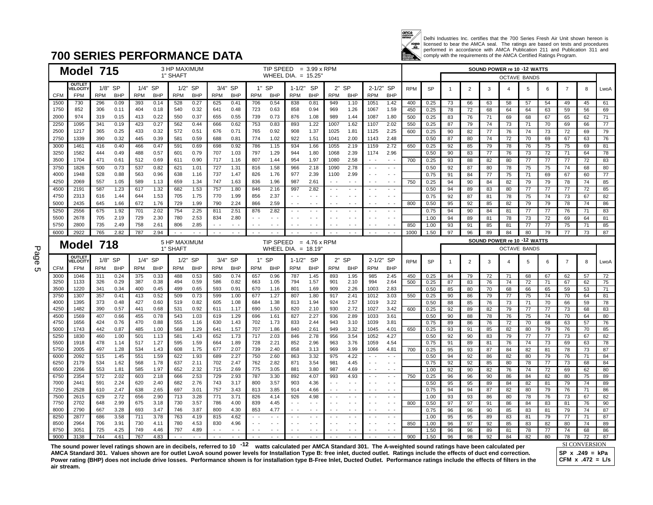

Delhi Industries Inc. certifies that the 700 Series Fresh Air Unit shown hereon is licensed to bear the AMCA seal. The ratings are based on tests and procedures performed in accordance with AMCA Publication 211 and Publication 311 and comply with the requirements of the AMCA Certified Ratings Program.

### **700 SERIES PERFORMANCE DATA**

|            |              | Model 715                |            |              |            |              | 3 HP MAXIMUM        |              |               |               |               | TIP SPEED $= 3.99 \times$ RPM |               |               |               |                          |                                |                                  |            |              |          |                | SOUND POWER re 10 -12 WATTS |                     |          |                 |                |                 |                 |
|------------|--------------|--------------------------|------------|--------------|------------|--------------|---------------------|--------------|---------------|---------------|---------------|-------------------------------|---------------|---------------|---------------|--------------------------|--------------------------------|----------------------------------|------------|--------------|----------|----------------|-----------------------------|---------------------|----------|-----------------|----------------|-----------------|-----------------|
|            |              |                          |            |              |            |              | 1" SHAFT            |              |               |               |               | WHEEL DIA. $= 15.25$          |               |               |               |                          |                                |                                  |            |              |          |                |                             | <b>OCTAVE BANDS</b> |          |                 |                |                 |                 |
|            |              | <b>OUTLET</b><br>VELOCIT | 1/8" SP    |              |            | 1/4" SP      |                     | 1/2" SP      | 3/4" SP       |               |               | $1"$ SP                       | 1-1/2" SP     |               |               | $2"$ SP                  | 2-1/2" SP                      |                                  | <b>RPM</b> | <b>SP</b>    | -1       | $\overline{2}$ | 3                           | 4                   | 5        | 6               | $\overline{7}$ | 8               | LwoA            |
|            | <b>CFM</b>   | <b>FPM</b>               | <b>RPM</b> | <b>BHP</b>   | <b>RPM</b> | <b>BHP</b>   | <b>RPM</b>          | <b>BHP</b>   | <b>RPM</b>    | <b>BHP</b>    | <b>RPM</b>    | <b>BHP</b>                    | <b>RPM</b>    | <b>BHP</b>    | <b>RPM</b>    | <b>BHP</b>               | <b>RPM</b>                     | <b>BHP</b>                       |            |              |          |                |                             |                     |          |                 |                |                 |                 |
|            | 1500         | 730                      | 296        | 0.09         | 393        | 0.14         | 528                 | 0.27         | 625           | 0.41          | 706           | 0.54                          | 838           | 0.81          | 949           | 1.10                     | 1051                           | 1.42                             | 400        | 0.25         | 73       | 66             | 63                          | 58                  | 57       | 54              | 49             | 45              | 61              |
|            | 1750         | 852                      | 306        | 0.11         | 404        | 0.18         | 540                 | 0.32         | 641           | 0.48          | 723           | 0.63                          | 858           | 0.94          | 969           | 1.26                     | 1067                           | 1.59                             | 450        | 0.25         | 78       | 72             | 68                          | 64                  | 64       | 63              | 59             | 56              | 69              |
|            | 2000         | 974                      | 319        | 0.15         | 413        | 0.22         | 550                 | 0.37         | 655           | 0.55          | 739           | 0.73                          | 876           | 1.08          | 989           | 1.44                     | 1087                           | 1.80                             | 500        | 0.25         | 83       | 76             | 71                          | 69                  | 68       | 67              | 65             | 62              | 71              |
|            | 2250         | 1095                     | 341        | 0.19         | 423        | 0.27         | 562                 | 0.44         | 666           | 0.62          | 753           | 0.83                          | 893           | 1.22          | 1007          | 1.62                     | 1107                           | 2.02                             | 550        | 0.25         | 87       | 79             | 74                          | 73                  | 71       | 70              | 69             | 66              | $\overline{77}$ |
|            | 2500         | 1217                     | 365        | 0.25         | 433        | 0.32         | 572                 | 0.51         | 676           | 0.71          | 765           | 0.92                          | 908           | 1.37          | 1025          | 1.81                     | 1125                           | 2.25                             | 600        | 0.25         | 90       | 82             | 77                          | 76                  | 74       | 73              | 72             | 69              | 79              |
|            | 2750         | 1339                     | 390        | 0.32         | 445        | 0.39         | 581                 | 0.59         | 688           | 0.81          | 774           | 1.02                          | 922           | 1.51          | 1041          | 2.00                     | 1143                           | 2.48                             |            | 0.50         | 87       | 80             | 74                          | 72                  | 70       | 69              | 67             | 63              | 76              |
|            | 3000         | 1461                     | 416        | 0.40         | 466        | 0.47         | 591                 | 0.69         | 698           | 0.92          | 786           | 1.15                          | 934           | 1.66          | 1055          | 2.19                     | 1159                           | 2.72                             | 650        | 0.25         | 92       | 85             | 79                          | 78                  | 76       | 75              | 75             | 69              | 81              |
|            | 3250         | 1582                     | 444        | 0.49         | 488        | 0.57         | 601                 | 0.79         | 707           | 1.03          | 797           | 1.29                          | 944           | 1.80          | 1068          | 2.39                     | 1174                           | 2.96                             |            | 0.50         | 90       | 83             | 77                          | 76                  | 73       | 72              | 71             | 64              | 78              |
|            | 3500         | 1704                     | 471        | 0.61         | 512        | 0.69         | 611                 | 0.90         | 717<br>727    | 1.16          | 807           | 1.44                          | 954           | 1.97          | 1080          | 2.58                     | $\sim$ $\sim$                  | $\sim$ $-$                       | 700        | 0.25         | 93       | 88             | 82                          | 80                  | 77       | 77              | 77             | 72              | 83              |
|            | 3750<br>4000 | 1826<br>1948             | 500<br>528 | 0.73<br>0.88 | 537<br>563 | 0.82<br>0.96 | 621<br>638          | 1.01<br>1.16 | 737           | 1.31<br>1.47  | 816<br>826    | 1.58<br>1.76                  | 966<br>977    | 2.18<br>2.39  | 1090<br>1100  | 2.78<br>2.99             | $\sim$ $\sim$<br>$\sim$ $\sim$ | $\sim$ $ \sim$<br>$\sim$ $ \sim$ |            | 0.50<br>0.75 | 92<br>91 | 87<br>84       | 80<br>77                    | 78<br>75            | 75<br>71 | 75<br>69        | 74<br>67       | 68<br>60        | 80<br>77        |
|            | 4250         | 2069                     | 557        | 1.05         | 589        | 1.13         | 659                 | 1.34         | 747           | 1.63          | 836           | 1.96                          | 987           | 2.61          |               | $\sim$ $\sim$            |                                | $\sim$ $-$                       | 750        | 0.25         | 94       | 90             | 84                          | 82                  | 79       | 79              | 78             | 74              | 85              |
|            | 4500         | 2191                     | 587        | 1.23         | 617        | 1.32         | 682                 | 1.53         | 757           | 1.80          | 846           | 2.16                          | 997           | 2.82          | $\sim$ $\sim$ | $\sim$ $\sim$            |                                | $\sim$ $ \sim$                   |            | 0.50         | 94       | 89             | 83                          | 80                  | 77       | $\overline{77}$ | 77             | $\overline{72}$ | 85              |
|            | 4750         | 2313                     | 616        | 1.44         | 644        | 1.53         | 705                 | 1.75         | 770           | 1.99          | 856           | 2.37                          |               | $\sim$ $\sim$ |               |                          |                                | $\sim$ $\sim$                    |            | 0.75         | 92       | 87             | 81                          | 78                  | 75       | 74              | 73             | 67              | 82              |
|            | 5000         | 2435                     | 645        | 1.66         | 672        | 1.76         | 729                 | 1.99         | 790           | 2.24          | 866           | 2.59                          | $\sim$ $\sim$ | $\sim$ $\sim$ | $ -$          | $ -$                     | $ -$                           | $\sim$ $-$                       | 800        | 0.50         | 95       | 92             | 85                          | 82                  | 79       | 79              | 78             | 74              | 86              |
|            | 5250         | 2556                     | 675        | 1.92         | 701        | 2.02         | 754                 | 2.25         | 811           | 2.51          | 876           | 2.82                          |               |               |               |                          |                                | $\sim$ $\sim$                    |            | 0.75         | 94       | 90             | 84                          | 81                  | 77       | 77              | 76             | 71              | 83              |
|            | 5500         | 2678                     | 705        | 2.19         | 729        | 2.30         | 780                 | 2.53         | 834           | 2.80          |               |                               |               | $\sim$ $-$    |               | $\overline{\phantom{a}}$ |                                | $\sim$ $\sim$                    |            | 1.00         | 94       | 89             | 81                          | 78                  | 73       | 72              | 69             | 64              | 81              |
|            | 5750         | 2800                     | 735        | 2.49         | 758        | 2.61         | 806                 | 2.85         | $\sim$ $\sim$ | $\sim$ $\sim$ |               |                               |               | $\sim$ $\sim$ |               | $ -$                     |                                | $\sim$ $-$                       | 850        | 1.00         | 93       | 91             | 85                          | 81                  | 77       | 77              | 75             | 71              | 85              |
|            | 6000         | 2922                     | 765        | 2.82         | 787        | 2.94         |                     |              | $\sim$ $-$    | $\sim$ $\sim$ | $\sim$ $\sim$ | $\sim$ $\sim$                 | $\sim$ $\sim$ | $\sim$ $\sim$ | $\sim$ $-$    | $\sim$ $\sim$            | $\sim$ $\sim$                  | $\sim$ $-$                       | 1000       | 1.50         | 97       | 96             | 89                          | 84                  | 80       | 79              | 77             | $\overline{73}$ | 87              |
|            |              |                          |            |              |            |              | <b>5 HP MAXIMUM</b> |              |               |               |               | TIP SPEED $= 4.76 \times$ RPM |               |               |               |                          |                                |                                  |            |              |          |                | SOUND POWER re 10 -12 WATTS |                     |          |                 |                |                 |                 |
| Ρ۵         |              | Model                    | 718        |              |            |              | 1" SHAFT            |              |               |               |               | WHEEL DIA. $= 18.19'$         |               |               |               |                          |                                |                                  |            |              |          |                |                             | <b>OCTAVE BANDS</b> |          |                 |                |                 |                 |
|            |              | <b>OUTLET</b>            |            |              |            |              |                     |              |               |               |               |                               |               |               |               |                          |                                |                                  |            |              |          |                |                             |                     |          |                 |                |                 |                 |
|            |              |                          |            |              |            |              |                     |              |               |               |               |                               |               |               |               |                          |                                |                                  |            |              |          |                |                             |                     |          |                 |                |                 |                 |
|            |              | <b><i>VELOCIT</i></b>    | $1/8"$ SP  |              |            | $1/4"$ SP    |                     | $1/2"$ SP    | 3/4" SP       |               |               | $1"$ SP                       | $1 - 1/2"$ SP |               |               | $2"$ SP                  | 2-1/2" SP                      |                                  | <b>RPM</b> | <b>SP</b>    | -1       | $\overline{2}$ | 3                           | 4                   | 5        | 6               | $\overline{7}$ | 8               | LwoA            |
|            | <b>CFM</b>   | <b>FPM</b>               | <b>RPM</b> | <b>BHP</b>   | <b>RPM</b> | <b>BHP</b>   | <b>RPM</b>          | <b>BHP</b>   | <b>RPM</b>    | <b>BHP</b>    | <b>RPM</b>    | <b>BHP</b>                    | <b>RPM</b>    | <b>BHP</b>    | <b>RPM</b>    | <b>BHP</b>               | <b>RPM</b>                     | <b>BHP</b>                       |            |              |          |                |                             |                     |          |                 |                |                 |                 |
|            | 3000<br>3250 | 1046<br>1133             | 311<br>326 | 0.24<br>0.29 | 375<br>387 | 0.33<br>0.38 | 488<br>494          | 0.53<br>0.59 | 580<br>586    | 0.74<br>0.82  | 657<br>663    | 0.96<br>1.05                  | 787<br>794    | 1.45<br>1.57  | 893<br>901    | 1.95<br>2.10             | 985<br>994                     | 2.45<br>2.64                     | 450<br>500 | 0.25         | 84       | 79             | 72                          | 71                  | 68       | 67              | 62             | 57              | 72              |
|            | 3500         | 1220                     | 341        | 0.34         | 400        | 0.45         | 499                 | 0.65         | 593           | 0.91          | 670           | 1.16                          | 801           | 1.69          | 909           | 2.26                     | 1003                           | 2.83                             |            | 0.25<br>0.50 | 87<br>85 | 83<br>80       | 76<br>70                    | 74<br>68            | 72<br>66 | 71<br>65        | 67<br>59       | 62<br>53        | 75<br>71        |
|            | 3750         | 1307                     | 357        | 0.41         | 413        | 0.52         | 509                 | 0.73         | 599           | 1.00          | 677           | 1.27                          | 807           | 1.80          | 917           | 2.41                     | 1012                           | 3.03                             | 550        | 0.25         | 90       | 86             | 79                          | 77                  | 75       | 74              | 70             | 64              | 81              |
|            | 4000         | 1395                     | 373        | 0.48         | 427        | 0.60         | 519                 | 0.82         | 605           | 1.08          | 684           | 1.38                          | 813           | 1.94          | 924           | 2.57                     | 1019                           | 3.22                             |            | 0.50         | 88       | 85             | 76                          | 73                  | 71       | 70              | 66             | 59              | 78              |
|            | 4250         | 1482                     | 390        | 0.57         | 441        | 0.68         | 531                 | 0.92         | 611           | 1.17          | 690           | 1.50                          | 820           | 2.10          | 930           | 2.72                     | 1027                           | 3.42                             | 600        | 0.25         | 92       | 89             | 82                          | 79                  | 77       | 77              | 73             | 68              | 83              |
|            | 4500         | 1569                     | 407        | 0.66         | 455        | 0.78         | 543                 | 1.03         | 619           | 1.29          | 696           | 1.61                          | 827           | 2.27          | 936           | 2.89                     | 1033                           | 3.61                             |            | 0.50         | 90       | 88             | 78                          | 76                  | 75       | 74              | 70             | 64              | 80              |
|            | 4750         | 1656                     | 424        | 0.76         | 470        | 0.88         | 555                 | 1.16         | 630           | 1.43          | 702           | 1.73                          | 833           | 2.44          | 943           | 3.10                     | 1039                           | 3.81                             |            | 0.75         | 89       | 86             | 76                          | 72                  | 70       | 68              | 63             | 57              | 76              |
|            | 5000<br>5250 | 1743<br>1830             | 442<br>460 | 0.87<br>1.00 | 485<br>501 | 1.00<br>1.13 | 568<br>581          | 1.29<br>1.43 | 641<br>652    | 1.57<br>1.73  | 707<br>717    | 1.86<br>2.03                  | 840<br>846    | 2.61<br>2.78  | 949<br>956    | 3.32<br>3.54             | 1045<br>1052                   | 4.01<br>4.27                     | 650        | 0.25<br>0.50 | 93<br>92 | 91<br>90       | 85<br>83                    | 82<br>79            | 80<br>77 | 79<br>77        | 76<br>73       | 70<br>67        | 85              |
|            | 5500         | 1918                     | 478        | 1.14         | 517        | 1.27         | 595                 | 1.59         | 664           | 1.89          | 728           | 2.21                          | 852           | 2.96          | 963           | 3.76                     | 1059                           | 4.54                             |            | 0.75         | 91       | 89             | 81                          | 76                  | 74       | 73              | 69             | 63              | 82<br>78        |
|            | 5750         | 2005                     | 497        | 1.28         | 534        | 1.43         | 608                 | 1.75         | 677           | 2.07          | 739           | 2.40                          | 858           | 3.13          | 969           | 3.99                     | 1066                           | 4.81                             | 700        | 0.25         | 95       | 93             | 87                          | 84                  | 82       | 81              | 78             | 73              | 87              |
|            | 6000         | 2092                     | 515        | 1.45         | 551        | 1.59         | 622                 | 1.93         | 689           | 2.27          | 750           | 2.60                          | 863           | 3.32          | 975           | 4.22                     | $ -$                           | $\sim$ $ \sim$                   |            | 0.50         | 94       | 92             | 86                          | 82                  | 80       | 79              | 76             | 71              | 84              |
|            | 6250         | 2179                     | 534        | 1.62         | 568        | 1.78         | 637                 | 2.11         | 702           | 2.47          | 762           | 2.82                          | 871           | 3.54          | 981           | 4.45                     |                                | $\sim$ $-$                       |            | 0.75         | 92       | 92             | 85                          | 80                  | 78       | 77              | 73             | 68              | 84              |
|            | 6500         | 2266                     | 553        | 1.81         | 585        | 1.97         | 652                 | 2.32         | 715           | 2.69          | 775           | 3.05                          | 881           | 3.80          | 987           | 4.69                     |                                | $\sim$ $-$                       |            | 1.00         | 92       | 90             | 82                          | 76                  | 74       | 72              | 69             | 62              | 80              |
|            | 6750         | 2354                     | 572        | 2.02         | 603        | 2.18         | 666                 | 2.53         | 729           | 2.93          | 787           | 3.30                          | 892           | 4.07          | 993           | 4.93                     |                                | $\sim$ $\sim$<br>$ -$            | 750        | 0.25         | 96       | 96             | 90                          | 86                  | 84       | 82              | 80             | 75              | 89              |
|            | 7000<br>7250 | 2441<br>2528             | 591<br>610 | 2.24<br>2.47 | 620<br>638 | 2.40<br>2.65 | 682<br>697          | 2.76<br>3.01 | 743<br>757    | 3.17<br>3.43  | 800<br>813    | 3.57<br>3.85                  | 903<br>914    | 4.36<br>4.66  | $\sim$ $\sim$ | $ -$                     |                                | $\sim$ $-$                       |            | 0.50         | 95       | 95             | 89                          | 84                  | 82       | 81              | 79             | 74              | 89              |
|            | 7500         | 2615                     | 629        | 2.72         | 656        | 2.90         | 713                 | 3.28         | 771           | 3.71          | 826           | 4.14                          | 926           | 4.98          | $\sim$ $\sim$ |                          |                                | $\sim$ $ \sim$                   |            | 0.75<br>1.00 | 94<br>93 | 94<br>93       | 87<br>86                    | 82<br>80            | 80<br>78 | 79<br>76        | 76<br>73       | 71<br>67        | 86<br>82        |
|            | 7750         | 2702                     | 648        | 2.99         | 675        | 3.18         | 730                 | 3.57         | 786           | 4.00          | 839           | 4.45                          |               | $\sim$ $\sim$ |               | $\overline{\phantom{a}}$ |                                | $\sim$ $ \sim$                   | 800        | 0.50         | 97       | 97             | 91                          | 86                  | 84       | 83              | 81             | 76              | 90              |
|            | 8000         | 2790                     | 667        | 3.28         | 693        | 3.47         | 746                 | 3.87         | 800           | 4.30          | 853           | 4.77                          |               | $\sim$ $-$    |               | $\sim$ $\sim$            |                                | $\sim$ $ \sim$                   |            | 0.75         | 96       | 96             | 90                          | 85                  | 83       | 81              | 79             | 74              | 87              |
| န္တ<br>С'n | 8250         | 2877                     | 686        | 3.58         | 711        | 3.78         | 763                 | 4.19         | 815           | 4.62          | $\sim$ $\sim$ | $ -$                          | $-$           | $\sim$ $-$    |               |                          |                                | $\sim$ $ \sim$                   |            | 1.00         | 95       | 95             | 89                          | 83                  | 81       | 79              | 77             | 71              | 87              |
|            | 8500         | 2964                     | 706        | 3.91         | 730        | 4.11         | 780                 | 4.53         | 830           | 4.96          |               |                               |               |               |               |                          |                                | $\sim$ $\sim$                    | 850        | 1.00         | 96       | 97             | 92                          | 85                  | 83       | 82              | 80             | 74              | 89              |
|            | 8750<br>9000 | 3051<br>3138             | 725<br>744 | 4.25<br>4.61 | 749<br>767 | 4.46<br>4.83 | 797                 | 4.89         |               | $\sim$ $\sim$ |               | $\sim$ $-$                    |               | $\sim$ $-$    | $\sim$ $\sim$ | $\sim$ $\sim$            |                                | $\sim$ $\sim$                    | 900        | 1.50<br>1.50 | 96<br>96 | 96<br>98       | 89<br>92                    | 81<br>84            | 78<br>82 | 77<br>80        | 74<br>78       | 68<br>72        | 86<br>87        |

The sound power level ratings shown are in decibels, referred to 10 <sup>-12</sup> watts calculated per AMCA Standard 301. The A-weighted sound ratings have been calculated per **AMCA Standard 301. Values shown are for outlet LwoA sound power levels for Installation Type B: free inlet, ducted outlet. Ratings include the effects of duct end correction.**  Power rating (BHP) does not include drive losses. Performance shown is for installation type B-Free Inlet, Ducted Outlet. Performance ratings include the effects of filters in the **air stream.**  <sup>-12</sup> watte coloulated par AMCA Standard 201 The A weighted cound ratings have been coloulated par SI CONVERSION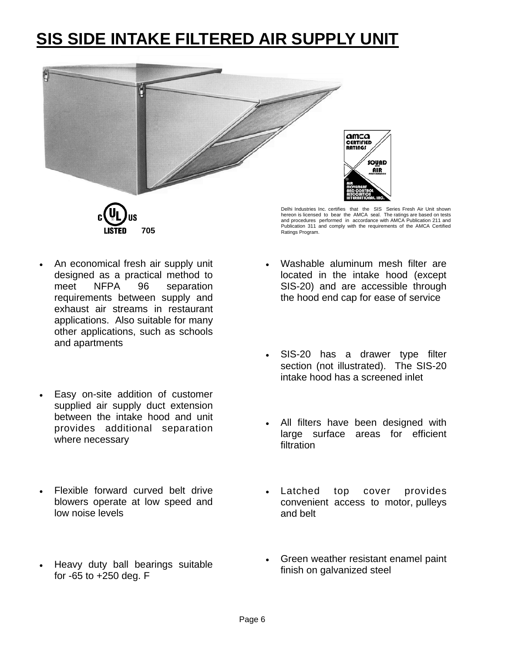## **SIS SIDE INTAKE FILTERED AIR SUPPLY UNIT**



**705** 

Delhi Industries Inc. certifies that the SIS Series Fresh Air Unit shown hereon is licensed to bear the AMCA seal. The ratings are based on tests and procedures performed in accordance with AMCA Publication 211 and Publication 311 and comply with the requirements of the AMCA Certified Ratings Program.

- An economical fresh air supply unit designed as a practical method to meet NFPA 96 separation requirements between supply and exhaust air streams in restaurant applications. Also suitable for many other applications, such as schools and apartments
- Easy on-site addition of customer supplied air supply duct extension between the intake hood and unit provides additional separation where necessary
- Flexible forward curved belt drive blowers operate at low speed and low noise levels
- Heavy duty ball bearings suitable for -65 to +250 deg. F
- Washable aluminum mesh filter are located in the intake hood (except SIS-20) and are accessible through the hood end cap for ease of service
- SIS-20 has a drawer type filter section (not illustrated). The SIS-20 intake hood has a screened inlet
- All filters have been designed with large surface areas for efficient filtration
- Latched top cover provides convenient access to motor, pulleys and belt
- Green weather resistant enamel paint finish on galvanized steel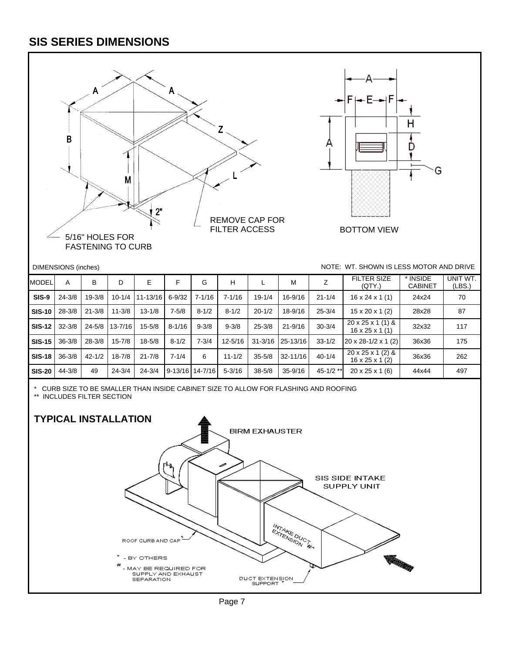#### **SIS SERIES DIMENSIONS**



\* CURB SIZE TO BE SMALLER THAN INSIDE CABINET SIZE TO ALLOW FOR FLASHING AND ROOFING

\*\* INCLUDES FILTER SECTION

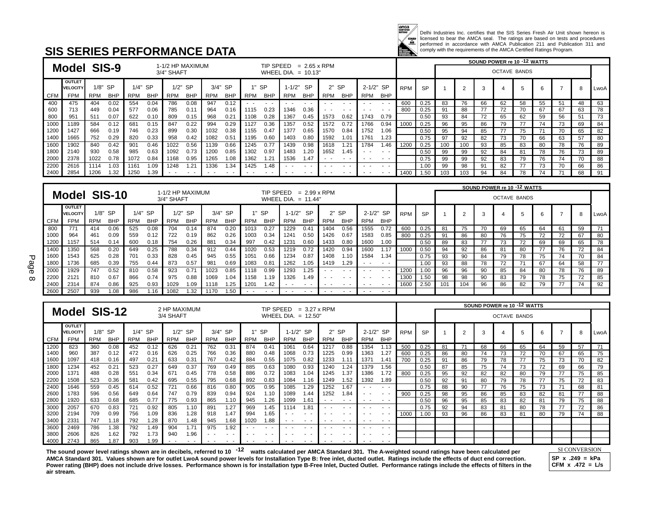

Delhi Industries Inc. certifies that the SIS Series Fresh Air Unit shown hereon is<br>licensed to bear the AMCA seal. The ratings are based on tests and procedures<br>performed in accordance with AMCA Publication 211 and Publica

#### **SIS SERIES PERFORMANCE DATA**

|      |                           |      |            |            |            |                                |                  |            |            |            |            |                       |                     |                          |            |            |            |            |           |     |     | SOUND POWER re 10 -12 WATTS |     |                     |    |    |    |      |
|------|---------------------------|------|------------|------------|------------|--------------------------------|------------------|------------|------------|------------|------------|-----------------------|---------------------|--------------------------|------------|------------|------------|------------|-----------|-----|-----|-----------------------------|-----|---------------------|----|----|----|------|
|      | <b>Model SIS-9</b>        |      |            |            |            | 1-1/2 HP MAXIMUM<br>3/4" SHAFT |                  |            |            |            | TIP SPEED  | WHEEL DIA. $= 10.13"$ | $= 2.65 \times$ RPM |                          |            |            |            |            |           |     |     |                             |     | <b>OCTAVE BANDS</b> |    |    |    |      |
|      | OUTLET<br><b>VELOCITY</b> |      | $1/8"$ SP  | 1/4"       | <b>SP</b>  |                                | $1/2"$ SP        |            | $3/4"$ SP  |            | $1"$ SP    | $1 - 1/2"$            | <b>SP</b>           |                          | $2"$ SP    | 2-1/2" SP  |            | <b>RPM</b> | <b>SP</b> |     |     | 3                           |     |                     |    |    |    | LwoA |
| CFM  | <b>FPM</b>                | RPM  | <b>BHP</b> | <b>RPM</b> | <b>BHP</b> | <b>RPM</b>                     | <b>BHP</b>       | <b>RPM</b> | <b>BHP</b> | <b>RPM</b> | <b>BHP</b> | <b>RPM</b>            | <b>BHP</b>          | RPM                      | <b>BHP</b> | <b>RPM</b> | <b>BHP</b> |            |           |     |     |                             |     |                     |    |    |    |      |
| 400  | 475                       | 404  | 0.02       | 554        | 0.04       | 786                            | 0.08             | 947        | 0.12       |            |            |                       |                     |                          | - -        | - -        | $\sim$     | 600        | 0.25      | 83  | 76  | 66                          | 62  | 58                  | 55 |    | 48 | 63   |
| 600  | 713                       | 449  | 0.04       | 577        | 0.06       | 785                            | 0.1 <sup>4</sup> | 964        | 0.16       | 1115       | 0.23       | 1346                  | 0.36                | $\overline{\phantom{a}}$ | $ -$       | - -        | $\sim$     | 800        | 0.25      | 91  | 88  | 77                          |     |                     | 67 | 67 | 63 | 78   |
| 800  | 951                       | 511  | 0.07       | 622        | 0.10       | 809                            | 0.15             | 968        | 0.21       | 1108       | 0.28       | 1367                  | 0.45                | 1573                     | 0.62       | 1743       | 0.79       |            | 0.50      | 93  | 84  | 72                          | 65  | 62                  | 59 | 56 | 51 | 73   |
| 1000 | 1189                      | 584  | 0.12       | 681        | 0.15       | 847                            | 0.22             | 994        | 0.29       | 1127       | 0.36       | 1357                  | 0.52                | 1572                     | 0.72       | 1766       | 0.94       | 1000       | 0.25      | 96  | 95  | 86                          | 79. |                     | 74 | 73 | 69 | 84   |
| 1200 | 1427                      | 666  | 0.19       | 746        | 0.23       | 899                            | 0.3C             | 1032       | 0.38       | 1155       | 0.47       | 1377                  | 0.65                | 1570                     | 0.84       | 1752       | 1.06       |            | 0.50      | 95  | 94  | 85                          |     | 75                  | 71 |    | 65 | 82   |
| 1400 | 1665                      | 752  | 0.29       | 820        | 0.33       | 958                            | 0.42             | 1082       | 0.51       | 1195       | 0.60       | 1403                  | 0.80                | 1592                     | 1.01       | 1761       | 1.23       |            | 0.75      | 97  | 92  | 82                          | 73  | 70                  | 66 | 63 | 57 | 80   |
| 1600 | 1902                      | 840  | 0.42       | 901        | 0.46       | 1022                           | 0.56             | 1139       | 0.66       | 1245       | 0.77       | 1439                  | 0.98                | 1618                     | 1.21       | 1784       | 1.46       | 1200       | 0.25      | 100 | 100 | 93                          | 85  | 83                  | 80 | 78 | 76 | 89   |
| 1800 | 2140                      | 930  | 0.58       | 985        | 0.63       | 1092                           | 0.73             | 1200       | 0.85       | 1302       | 0.97       | 1483                  | .20                 | 1652                     | 1.45       |            | $ -$       |            | 0.50      | 99  | 99  | 92                          | 84  | 81                  | 78 | 76 | 73 | 89   |
| 2000 | 2378                      | 1022 | 0.78       | 1072       | 0.84       | 1168                           | 0.95             | 1265       | 1.08       | 1362       | 1.21       | 1536                  | l.47                | - -                      | $ -$       | $ -$       | . .        |            | 0.75      | 99  | 99  | 92                          | 83  | 79                  | 76 | 74 | 70 | 88   |
| 2200 | 2616                      | 1114 | 1.03       | 1161       | 1.09       | 1248                           | 1.21             | 1336       | 1.34       | 1425       | 1.48       |                       | . .                 |                          | . .        |            | . .        |            | 00.1      | 99  | 98  | 91                          | 82  |                     | 73 | 70 | 66 | 86   |
| 2400 | 2854                      | 1206 | 1.32       | 1250       | .39        | . .                            | . .              | . .        |            |            | . .        |                       | . .                 | . .                      | . .        | - -        |            | 1400       | 1.50      | 103 | 103 | 94                          | 84  | 78                  | 74 |    | 68 | 91   |

|            |                                  |                                                 |            |            |            |            |           |            |            |            |                       |                            |      |            |         |      |            |            |           |     |     | SOUND POWER re 10 -12 WATTS |    |    |    |    |    |      |
|------------|----------------------------------|-------------------------------------------------|------------|------------|------------|------------|-----------|------------|------------|------------|-----------------------|----------------------------|------|------------|---------|------|------------|------------|-----------|-----|-----|-----------------------------|----|----|----|----|----|------|
|            | Model                            | 1-1/2 HP MAXIMUM<br><b>SIS-10</b><br>3/4" SHAFT |            |            |            |            |           |            |            | TIP SPEED  | WHEEL DIA. $= 11.44"$ | $= 2.99 \times \text{RPM}$ |      |            |         |      |            |            |           |     |     | <b>OCTAVE BANDS</b>         |    |    |    |    |    |      |
|            | <b>OUTLET</b><br><b>VELOCITY</b> |                                                 | $1/8"$ SP  |            | $1/4"$ SP  |            | $1/2"$ SP |            | $3/4"$ SP  |            | 1" SP                 | $1 - 1/2"$                 | -SP  |            | $2"$ SP |      | 2-1/2" SP  | <b>RPM</b> | <b>SP</b> |     |     | 3                           |    |    |    |    | 8  | LwoA |
| <b>CFM</b> | <b>FPM</b>                       | <b>RPM</b>                                      | <b>BHP</b> | <b>RPM</b> | <b>BHP</b> | <b>RPM</b> | BHP       | <b>RPM</b> | <b>BHP</b> | <b>RPM</b> | <b>BHP</b>            | <b>RPM</b>                 | BHP  | <b>RPM</b> | BHP     | RPM  | <b>BHP</b> |            |           |     |     |                             |    |    |    |    |    |      |
| 800        | 771                              | 414                                             | 0.06       | 525        | 0.08       | 704        | 0.14      | 874        | 0.20       | 1013       | 0.27                  | 1229                       | 0.41 | 1404       | 0.56    | 1555 | 0.72       | 600        | 0.25      | 81  | 75  | 70                          | 69 | 65 | 64 | 61 | 59 |      |
| 1000       | 964                              | 461                                             | 0.09       | 559        | 0.12       | 722        | 0.19      | 862        | 0.26       | 1003       | 0.34                  | 1241                       | 0.50 | 1426       | 0.67    | 1583 | 0.85       | 800        | 0.25      | 91  | 86  | 80                          | 76 | 75 | 72 | 72 | 67 | 80   |
| 1200       | 1157                             | 514                                             | 0.14       | 600        | 0.18       | 754        | 0.26      | 881        | 0.34       | 997        | 0.42                  | 1231                       | 0.60 | 1433       | 0.80    | 1600 | 1.00       |            | 0.50      | 89  | 83  | 77                          | 73 | 72 | 69 | 69 | 65 | 78   |
| 1400       | 1350                             | 568                                             | 0.20       | 649        | 0.25       | 788        | 0.34      | 912        | 0.44       | 1020       | 0.53                  | 1219                       | 0.72 | 1420       | 0.94    | 1600 | 1.17       | 1000       | 0.50      | 94  | 92  | 86                          | 81 | 80 |    | 76 | 72 | 84   |
| 1600       | 1543                             | 625                                             | 0.28       | 701        | 0.33       | 828        | 0.45      | 945        | 0.55       | 1051       | 0.66                  | 1234                       | 0.87 | 1408       | 1.10    | 1584 | 1.34       |            | 0.75      | 93  | 90  | 84                          | 79 | 78 | 75 | 74 | 70 | 84   |
| 1800       | 1736                             | 685                                             | 0.39       | 755        | 0.44       | 873        | 0.57      | 981        | 0.69       | 1083       | 0.81                  | 1262                       | 1.05 | 1419       | 1.29    | . .  | . .        |            | 1.00      | 93  | 88  | 78                          | 72 |    | 67 | 64 | 58 | 77   |
| 2000       | 1929                             | 747                                             | 0.52       | 810        | 0.58       | 923        | 0.71      | 1023       | 0.85       | 1118       | 0.99                  | 1293                       | 1.25 | $ -$       | . .     | . .  | $ -$       | 1200       | 1.00      | 96  | 96  | 90                          | 85 | 84 | 80 | 78 | 76 | 89   |
| 2200       | 2121                             | 810                                             | 0.67       | 866        | 0.74       | 975        | 0.88      | 1069       | 1.04       | 1158       | 1.19                  | 1326                       | 1.49 |            | $ -$    | . .  | . .        | 1300       | 1.50      | 98  | 98  | 90                          | 83 | 79 | 78 | 75 | 72 | 85   |
| 2400       | 2314                             | 874                                             | 0.86       | 925        | 0.93       | 1029       | 1.09      | 1118       | 1.25       | 1201       | 1.42                  | . .                        | . .  | . .        | . .     | . .  | . .        | 1600       | 2.50      | 101 | 104 | 96                          | 86 | 82 | 79 | 77 | 74 | 92   |
| 2600       | 2507                             | 939                                             | 1.08       | 986        | 1.16       | 1082       | .32       | 1170       | 1.50       | - -        | $\sim$ $\sim$         | . .                        | . .  | . .        | $ -$    | . .  | $ -$       |            |           |     |     |                             |    |    |    |    |    |      |

Page 8

|            |                                 |                                                           |            |            |            | 2 HP MAXIMUM |            |            |            |      | TIP SPEED  |            | $= 3.27 \times$ RPM             |                          |            |                                                      |               |                     |           |    |                |    |    | SOUND POWER re 10 -12 WATTS |    |    |    |        |
|------------|---------------------------------|-----------------------------------------------------------|------------|------------|------------|--------------|------------|------------|------------|------|------------|------------|---------------------------------|--------------------------|------------|------------------------------------------------------|---------------|---------------------|-----------|----|----------------|----|----|-----------------------------|----|----|----|--------|
|            |                                 | <b>Model SIS-12</b><br>3/4 SHAFT<br>WHEEL DIA. $= 12.50"$ |            |            |            |              |            |            |            |      |            |            |                                 |                          |            |                                                      |               | <b>OCTAVE BANDS</b> |           |    |                |    |    |                             |    |    |    |        |
|            | <b>OUTLET</b><br><b>VELOCIT</b> | 1/8"                                                      | <b>SP</b>  | 1/4"       | <b>SP</b>  | 1/2"         | <b>SP</b>  | 3/4"       | <b>SP</b>  |      | <b>SP</b>  | $1 - 1/2"$ | -SP                             |                          | $2"$ SP    | $2 - 1/2"$                                           | <b>SP</b>     | <b>RPM</b>          | <b>SP</b> |    | $\overline{2}$ | 3  |    | 5                           | 6  |    |    | LwoA I |
| <b>CFM</b> | <b>FPM</b>                      | RPM                                                       | <b>BHP</b> | <b>RPM</b> | <b>BHP</b> | RPM          | <b>BHP</b> | <b>RPM</b> | <b>BHP</b> | RPM  | <b>BHP</b> | <b>RPM</b> | <b>BHP</b>                      | RPM                      | <b>BHP</b> | <b>RPM</b>                                           | <b>BHP</b>    |                     |           |    |                |    |    |                             |    |    |    |        |
| 1200       | 823                             | 360                                                       | 0.08       | 452        | 0.12       | 626          | 0.21       | 762        | 0.31       | 874  | 0.41       | 1061       | 0.64                            | 1217                     | 0.88       | 1354                                                 | 1.13          | 500                 | 0.25      | 81 | 71             | 68 | 66 | 65                          | 64 | 59 | 57 |        |
| 1400       | 960                             | 387                                                       | 0.12       | 472        | 0.16       | 626          | 0.25       | 766        | 0.36       | 880  | 0.48       | 1068       | 0.73                            | 1225                     | 0.99       | 1363                                                 | 1.27          | 600                 | 0.25      | 86 | 80             | 74 | 73 | 72                          | 70 | 67 | 65 | 75     |
| 1600       | 1097                            | 418                                                       | 0.16       | 497        | 0.21       | 633          | 0.31       | 767        | 0.42       | 884  | 0.55       | 1075       | 0.82                            | 1233                     | 1.11       | 137'                                                 | 1.41          | 700                 | 0.25      | 91 | 86             | 79 | 78 | 77                          | 75 | 73 | 70 | 82     |
| 1800       | 1234                            | 452                                                       | 0.21       | 523        | 0.27       | 649          | 0.37       | 769        | 0.49       | 885  | 0.63       | 1080       | 0.93                            | 1240                     | 1.24       | 1379                                                 | 1.56          |                     | 0.50      | 87 | 85             | 75 | 74 | 73                          | 72 | 69 | 66 | 79     |
| 2000       | 1371                            | 488                                                       | 0.28       | 551        | 0.34       | 671          | 0.45       | 778        | 0.58       | 886  | 0.72       | 1083       | 1.04                            | 1245                     | 1.37       | 1386                                                 | 1.72          | 800                 | 0.25      | 95 | 92             | 82 | 82 | 80                          | 79 | 77 | 75 | 85     |
| 2200       | 1508                            | 523                                                       | 0.36       | 581        | 0.42       | 695          | 0.55       | 795        | 0.68       | 892  | 0.83       | 1084       | 1.16                            | 1249                     | 1.52       | 1392                                                 | 1.89          |                     | 0.50      | 92 | 91             | 80 | 79 | 78                          |    | 75 | 72 | 83     |
| 2400       | 1646                            | 559                                                       | 0.45       | 614        | 0.52       | 721          | 0.66       | 816        | 0.80       | 905  | 0.95       | 1085       | 1.29                            | 1252                     | 1.67       | $\overline{\phantom{a}}$                             | $ -$          |                     | 0.75      | 88 | 90             | 77 | 76 | 75                          | 73 | 71 | 68 | 81     |
| 2600       | 1783                            | 596                                                       | 0.56       | 649        | 0.64       | 747          | 0.79       | 839        | 0.94       | 924  | 1.10       | 1089       | 1.44                            | 1252                     | 1.84       | . .                                                  | $\sim$        | 900                 | 0.25      | 98 | 95             | 86 | 85 | 83                          | 82 | 81 |    | 88     |
| 2800       | 1920                            | 633                                                       | 0.68       | 685        | 0.77       | 775          | 0.93       | 865        | 1.10       | 945  | 1.26       | 1099       | 1.61                            | . .                      | $ -$       | . .                                                  | $ -$          |                     | 0.50      | 96 | 95             | 85 | 83 | 82                          | 81 | 79 | 75 | 88     |
| 3000       | 2057                            | 670                                                       | 0.83       | 721        | 0.92       | 805          | 1.10       | 891        | 1.27       | 969  | 1.45       | 1114       | 1.81                            |                          |            |                                                      |               |                     | 0.75      | 92 | 94             | 83 | 81 | 80                          | 78 | 77 | 72 | 86     |
| 3200       | 2194                            | 709                                                       | 0.99       | 756        | 1.09       | 836          | 1.28       | 918        | 1.47       | 994  | 1.65       |            |                                 | $\sim$                   | . .        |                                                      | $ -$          | 1000                | 1.00      | 93 | 96             | 86 | 83 | 81                          | 80 | 79 | 74 | 88     |
| 3400       | 2331                            | 747                                                       | 1.18       | 792        | 1.28       | 870          | 1.48       | 945        | 1.68       | 1020 | 1.88       | $ -$       | $\overline{\phantom{a}}$<br>. . | . .                      | $ -$       | . .                                                  | $ -$          |                     |           |    |                |    |    |                             |    |    |    |        |
| 3600       | 2469                            | 786                                                       | 1.38       | 792        | 1.49       | 904          | 1.71       | 975        | 1.92       | - -  | $\sim$     |            |                                 |                          |            | . .                                                  | $\sim$ $\sim$ |                     |           |    |                |    |    |                             |    |    |    |        |
| 3800       | 2606                            | 826                                                       | 1.62       | 792        | 1.73       | 940          | 1.96       | $ -$       | $\sim$     |      | $\sim$     |            |                                 | $\overline{\phantom{a}}$ | $\sim$     |                                                      | $ -$          |                     |           |    |                |    |    |                             |    |    |    |        |
|            | 2743                            | 865                                                       | .87        | 903        | .99        |              |            |            |            |      |            |            |                                 | $\sim$                   |            | $\overline{\phantom{a}}$<br>$\overline{\phantom{a}}$ | $\sim$        |                     |           |    |                |    |    |                             |    |    |    |        |

The sound power level ratings shown are in decibels, referred to 10 <sup>-12</sup> watts calculated per AMCA Standard 301. The A-weighted sound ratings have been calculated per <u>SI CONVERSION</u> **AMCA Standard 301. Values shown are for outlet LwoA sound power levels for Installation Type B: free inlet, ducted outlet. Ratings include the effects of duct end correction.**  Power rating (BHP) does not include drive losses. Performance shown is for installation type B-Free Inlet, Ducted Outlet. Performance ratings include the effects of filters in the **air stream.** 

**SP x .249 = kPa** 

**CFM x .472 = L/s**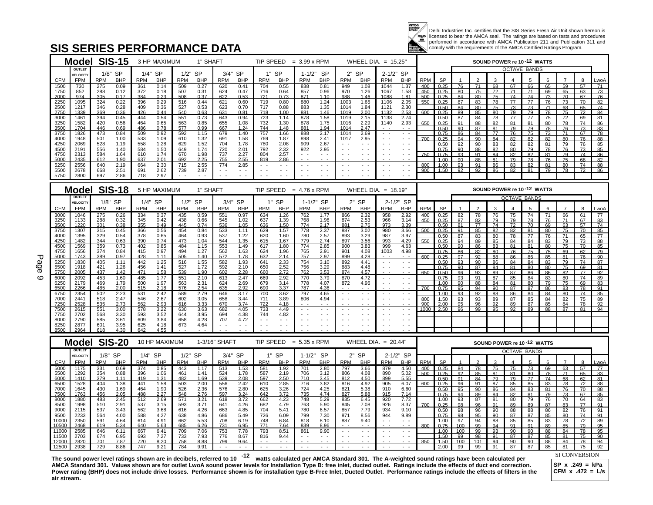

Delhi Industries Inc. certifies that the SIS Series Fresh Air Unit shown hereon is<br>licensed to bear the AMCA seal. The ratings are based on tests and procedures<br>performed in accordance with AMCA Publication 211 and Publica comply with the requirements of the AMCA Certified Ratings Program.

#### **SIS SERIES PERFORMANCE DATA**

|                |                        | Model SIS-15                                  | 3 HP MAXIMUM                          | 1" SHAFT                                      |                                       |                                                                                                                                                                                                                                                                                                                                                                                                                                                                                                                                                                                                                                                                                                                                                                                                                                                                                                                                    | TIP SPEED = $3.99 \times$ RPM                                      |                                                                                                                                                                                                                                                                                                                                                                                                                                                                      | WHEEL DIA. $= 15.25$ "                |                            |           |                 | SOUND POWER re 10-12 WATTS |                       |                     |                       |                       |          |                       |
|----------------|------------------------|-----------------------------------------------|---------------------------------------|-----------------------------------------------|---------------------------------------|------------------------------------------------------------------------------------------------------------------------------------------------------------------------------------------------------------------------------------------------------------------------------------------------------------------------------------------------------------------------------------------------------------------------------------------------------------------------------------------------------------------------------------------------------------------------------------------------------------------------------------------------------------------------------------------------------------------------------------------------------------------------------------------------------------------------------------------------------------------------------------------------------------------------------------|--------------------------------------------------------------------|----------------------------------------------------------------------------------------------------------------------------------------------------------------------------------------------------------------------------------------------------------------------------------------------------------------------------------------------------------------------------------------------------------------------------------------------------------------------|---------------------------------------|----------------------------|-----------|-----------------|----------------------------|-----------------------|---------------------|-----------------------|-----------------------|----------|-----------------------|
|                | <b>OUTLET</b>          |                                               |                                       |                                               |                                       |                                                                                                                                                                                                                                                                                                                                                                                                                                                                                                                                                                                                                                                                                                                                                                                                                                                                                                                                    |                                                                    |                                                                                                                                                                                                                                                                                                                                                                                                                                                                      |                                       |                            |           |                 |                            |                       | <b>OCTAVE BANDS</b> |                       |                       |          |                       |
| <b>CFM</b>     | VELOCITY<br><b>FPM</b> | <b>SP</b><br>1/8"<br><b>RPM</b><br><b>BHP</b> | $1/4"$ SP<br><b>RPM</b><br><b>BHP</b> | 1/2"<br><b>SP</b><br><b>RPM</b><br><b>BHP</b> | $3/4"$ SP<br><b>RPM</b><br><b>BHP</b> | <b>SP</b><br>1"<br><b>BHP</b><br><b>RPM</b>                                                                                                                                                                                                                                                                                                                                                                                                                                                                                                                                                                                                                                                                                                                                                                                                                                                                                        | $1 - 1/2"$<br><b>SP</b><br><b>BHP</b><br>RPM                       | $2"$ SP<br><b>BHP</b><br><b>RPM</b>                                                                                                                                                                                                                                                                                                                                                                                                                                  | 2-1/2" SP<br><b>RPM</b><br><b>BHP</b> | <b>RPM</b><br><b>SP</b>    |           |                 |                            |                       |                     |                       |                       |          |                       |
| 1500           | 730                    | 0.09<br>275                                   | 361<br>0.14                           | 509<br>0.27                                   | 0.41<br>620                           | 0.55<br>704                                                                                                                                                                                                                                                                                                                                                                                                                                                                                                                                                                                                                                                                                                                                                                                                                                                                                                                        | 0.81<br>838                                                        | 949<br>1.08                                                                                                                                                                                                                                                                                                                                                                                                                                                          | 1.37<br>1044                          | 0.25<br>400                | 76        | 71              | 68                         | 67                    | 66                  | 65                    | 59                    | 57       | 71                    |
| 1750<br>2000   | 852<br>974             | 288<br>0.12<br>305<br>0.17                    | 372<br>0.18<br>0.23<br>384            | 507<br>0.31<br>508<br>0.37                    | 0.47<br>624<br>0.53<br>622            | 716<br>0.64<br>721<br>0.73                                                                                                                                                                                                                                                                                                                                                                                                                                                                                                                                                                                                                                                                                                                                                                                                                                                                                                         | 857<br>0.96<br>871<br>1.10                                         | 970<br>1.26<br>988<br>1.46                                                                                                                                                                                                                                                                                                                                                                                                                                           | 1067<br>1.58<br>1.81<br>1088          | 450<br>0.25<br>500<br>0.25 | 80<br>84  | 75<br>80        | 72<br>75                   | 71<br>74              | 71<br>74            | 69<br>73              | 65<br>$\overline{70}$ | 63<br>67 | 73<br>76              |
| 2250           | 1095                   | 0.22<br>324                                   | 396<br>0.29                           | 0.44<br>516                                   | 621<br>0.60                           | 719<br>0.80                                                                                                                                                                                                                                                                                                                                                                                                                                                                                                                                                                                                                                                                                                                                                                                                                                                                                                                        | 880<br>1.24                                                        | 1.65<br>1003                                                                                                                                                                                                                                                                                                                                                                                                                                                         | 2.05<br>1106                          | 550<br>0.25                | 87        | 83              | 78                         | $\overline{77}$       | $\overline{77}$     | 76                    | 73                    | 70       | 82                    |
| 2500<br>2750   | 1217<br>1339           | 346<br>0.28<br>0.36<br>369                    | 409<br>0.36<br>0.44<br>426            | 527<br>0.53<br>540<br>0.63                    | 0.70<br>623<br>0.81<br>631            | 717<br>0.88<br>1.00<br>718                                                                                                                                                                                                                                                                                                                                                                                                                                                                                                                                                                                                                                                                                                                                                                                                                                                                                                         | 883<br>1.35<br>1.46<br>881                                         | 1014<br>1.84<br>1019<br>2.00                                                                                                                                                                                                                                                                                                                                                                                                                                         | $2.30$<br>$2.53$<br>1121<br>1132      | 0.50<br>0.25<br>600        | 84<br>89  | 80<br>85        | 75<br>80                   | 73<br>79              | 73<br>79            | 71<br>78              | 68<br>75              | 65<br>72 | 74<br>84              |
| 3000           | 1461                   | 394<br>0.45                                   | 444<br>0.54                           | 551<br>0.73                                   | 643<br>0.94                           | 723<br>1.14                                                                                                                                                                                                                                                                                                                                                                                                                                                                                                                                                                                                                                                                                                                                                                                                                                                                                                                        | 878<br>1.58                                                        | 2.15<br>1019                                                                                                                                                                                                                                                                                                                                                                                                                                                         | 2.74<br>1138                          | 0.50                       | 87        | 84              | 78                         | 77                    | 77                  | 75                    | 72                    | 69       | 81                    |
| 3250           | 1582                   | 420<br>0.56<br>0.69                           | 464<br>0.65<br>0.78                   | 563<br>0.85<br>577<br>0.99                    | 655<br>1.08                           | 732<br>1.30<br>744<br>1.48                                                                                                                                                                                                                                                                                                                                                                                                                                                                                                                                                                                                                                                                                                                                                                                                                                                                                                         | 878<br>1.75<br>1.94                                                | 2.29<br>1016<br>1014<br>2.47                                                                                                                                                                                                                                                                                                                                                                                                                                         | 2.93<br>1140                          | 650<br>0.25                | 91        | 88              | 82                         | 81                    | 81                  | 80                    | 78                    | 74       | 86                    |
| 3500<br>3750   | 1704<br>1826           | 446<br>0.84<br>473                            | 486<br>0.92<br>509                    | 592<br>1.15                                   | 667<br>1.24<br>1.40<br>679            | 757<br>1.66                                                                                                                                                                                                                                                                                                                                                                                                                                                                                                                                                                                                                                                                                                                                                                                                                                                                                                                        | 881<br>888<br>2.17                                                 | 2.69<br>1014                                                                                                                                                                                                                                                                                                                                                                                                                                                         | $\sim$ $ \sim$<br>$\sim$ $\sim$       | 0.50<br>0.75               | 90<br>86  | 87<br>84        | 81<br>77                   | 79<br>76              | 79<br>75            | 78<br>73              | 76<br>71              | 73<br>67 | 83<br>78              |
| 4000           | 1948                   | 501<br>1.00                                   | 533<br>1.09                           | 610<br>1.32                                   | 691<br>1.58                           | 769<br>1.87                                                                                                                                                                                                                                                                                                                                                                                                                                                                                                                                                                                                                                                                                                                                                                                                                                                                                                                        | 898<br>2.41                                                        | 1017<br>2.95                                                                                                                                                                                                                                                                                                                                                                                                                                                         | $\sim$ $-$                            | 700<br>0.25                | 94        | 90              | 84                         | 82                    | 82                  | 82                    | 80                    | 76       | 88                    |
| 4250<br>4500   | 2069<br>2191           | 1.19<br>528<br>1.40<br>556                    | 558<br>1.28<br>584                    | 1.52<br>629<br>649                            | 1.78<br>704<br>720                    | 2.08<br>780<br>792                                                                                                                                                                                                                                                                                                                                                                                                                                                                                                                                                                                                                                                                                                                                                                                                                                                                                                                 | 909<br>2.67<br>922                                                 | $\sim$<br>$\frac{1}{2} \left( \frac{1}{2} \right) \frac{1}{2} \left( \frac{1}{2} \right)$                                                                                                                                                                                                                                                                                                                                                                            | $\sim$ $ \sim$                        | 0.50<br>0.75               | 92<br>90  | 90<br>88        | 83<br>82                   | 82<br>80              | 82<br>79            | 81<br>78              | 79<br>76              | 76<br>73 | 85<br>85              |
| 4750           | 2313                   | 584<br>1.64                                   | $1.50$<br>$1.74$<br>610               | 1.74<br>670<br>1.98                           | $\frac{2.01}{2.27}$<br>737            | $\frac{2.32}{2.57}$<br>804                                                                                                                                                                                                                                                                                                                                                                                                                                                                                                                                                                                                                                                                                                                                                                                                                                                                                                         | 2.95                                                               | $\sim$ $\sim$                                                                                                                                                                                                                                                                                                                                                                                                                                                        | $\sim$ $\sim$                         | 750<br>0.75                | 93        | 91              | 84                         | 82                    | 82                  | 81                    | 79                    | 74       | 86                    |
| 5000           | 2435                   | 1.90<br>612                                   | 2.01<br>637                           | 692<br>2.25                                   | 2.55<br>755                           | 819<br>2.86                                                                                                                                                                                                                                                                                                                                                                                                                                                                                                                                                                                                                                                                                                                                                                                                                                                                                                                        |                                                                    |                                                                                                                                                                                                                                                                                                                                                                                                                                                                      |                                       | 1.00                       | 90        | 88              | 81                         | 79                    | 78                  | 76                    | $\overline{75}$       | 68       | 82                    |
| 5250<br>5500   | 2556<br>2678           | 2.19<br>640<br>668<br>2.51                    | 2.30<br>664<br>691<br>2.62            | $\frac{2.55}{2.87}$<br>715<br>739             | 774<br>2.85                           | $\sim$ $\sim$<br>$\frac{1}{2} \left( \frac{1}{2} \right) + \frac{1}{2} \left( \frac{1}{2} \right) + \frac{1}{2} \left( \frac{1}{2} \right) + \frac{1}{2} \left( \frac{1}{2} \right) + \frac{1}{2} \left( \frac{1}{2} \right) + \frac{1}{2} \left( \frac{1}{2} \right) + \frac{1}{2} \left( \frac{1}{2} \right) + \frac{1}{2} \left( \frac{1}{2} \right) + \frac{1}{2} \left( \frac{1}{2} \right) + \frac{1}{2} \left( \frac{1}{2} \right) + \frac{1}{2} \left($<br>$\sim$ $\sim$<br>$\frac{1}{2} \left( \frac{1}{2} \right) + \frac{1}{2} \left( \frac{1}{2} \right) + \frac{1}{2} \left( \frac{1}{2} \right) + \frac{1}{2} \left( \frac{1}{2} \right) + \frac{1}{2} \left( \frac{1}{2} \right) + \frac{1}{2} \left( \frac{1}{2} \right) + \frac{1}{2} \left( \frac{1}{2} \right) + \frac{1}{2} \left( \frac{1}{2} \right) + \frac{1}{2} \left( \frac{1}{2} \right) + \frac{1}{2} \left( \frac{1}{2} \right) + \frac{1}{2} \left($ | $\sim$ $-$<br>$\sim$ $\sim$<br>$\sim$ $\sim$<br>$ -$               | $\frac{1}{2} \left( \frac{1}{2} \right) + \frac{1}{2} \left( \frac{1}{2} \right) + \frac{1}{2} \left( \frac{1}{2} \right) + \frac{1}{2} \left( \frac{1}{2} \right) + \frac{1}{2} \left( \frac{1}{2} \right) + \frac{1}{2} \left( \frac{1}{2} \right) + \frac{1}{2} \left( \frac{1}{2} \right) + \frac{1}{2} \left( \frac{1}{2} \right) + \frac{1}{2} \left( \frac{1}{2} \right) + \frac{1}{2} \left( \frac{1}{2} \right) + \frac{1}{2} \left($<br>$\sim$ $-$<br>$ -$ | $\sim$ $-$<br>$ -$                    | 1.00<br>800<br>900<br>1.50 | 93<br>92  | 91<br>92        | 86<br>86                   | 83<br>$\overline{82}$ | 82<br>81            | 81<br>79              | 80<br>78              | 74<br>72 | 88<br>86              |
| 5750           | 2800                   | 697<br>2.86                                   | 718<br>2.97                           |                                               |                                       |                                                                                                                                                                                                                                                                                                                                                                                                                                                                                                                                                                                                                                                                                                                                                                                                                                                                                                                                    |                                                                    |                                                                                                                                                                                                                                                                                                                                                                                                                                                                      |                                       |                            |           |                 |                            |                       |                     |                       |                       |          |                       |
|                |                        |                                               |                                       |                                               |                                       |                                                                                                                                                                                                                                                                                                                                                                                                                                                                                                                                                                                                                                                                                                                                                                                                                                                                                                                                    |                                                                    |                                                                                                                                                                                                                                                                                                                                                                                                                                                                      |                                       |                            |           |                 |                            |                       |                     |                       |                       |          |                       |
|                | Model                  | <b>SIS-18</b>                                 | 5 HP MAXIMUM                          | 1" SHAFT                                      |                                       | TIP SPEED                                                                                                                                                                                                                                                                                                                                                                                                                                                                                                                                                                                                                                                                                                                                                                                                                                                                                                                          | $= 4.76 \times$ RPM                                                |                                                                                                                                                                                                                                                                                                                                                                                                                                                                      | WHEEL DIA. $= 18.19"$                 |                            |           |                 | SOUND POWER re 10-12 WATTS |                       |                     |                       |                       |          |                       |
|                | <b>OUTLE</b>           |                                               |                                       |                                               |                                       |                                                                                                                                                                                                                                                                                                                                                                                                                                                                                                                                                                                                                                                                                                                                                                                                                                                                                                                                    |                                                                    |                                                                                                                                                                                                                                                                                                                                                                                                                                                                      |                                       |                            |           |                 |                            |                       | <b>OCTAVE BANDS</b> |                       |                       |          |                       |
| <b>CFM</b>     | VELOCITY<br><b>FPM</b> | <b>SP</b><br>1/8"<br><b>RPM</b><br><b>BHP</b> | $1/4"$ SP<br><b>RPM</b><br><b>BHP</b> | <b>SP</b><br>1/2"<br><b>RPM</b><br><b>BHP</b> | 3/4" SP<br><b>RPM</b><br><b>BHP</b>   | <b>SP</b><br>1"<br><b>RPM</b><br><b>BHP</b>                                                                                                                                                                                                                                                                                                                                                                                                                                                                                                                                                                                                                                                                                                                                                                                                                                                                                        | 1-1/2" SP<br><b>RPM</b><br><b>BHP</b>                              | $2"$ SP<br><b>RPM</b><br><b>BHP</b>                                                                                                                                                                                                                                                                                                                                                                                                                                  | 2-1/2" SP<br><b>RPM</b><br><b>BHP</b> | <b>RPM</b><br><b>SP</b>    |           |                 |                            |                       | 5                   |                       |                       | R        | LwoA                  |
| 3000           | 1046                   | 0.26<br>275                                   | 334<br>0.37                           | 435<br>0.59                                   | 0.97<br>551                           | 634                                                                                                                                                                                                                                                                                                                                                                                                                                                                                                                                                                                                                                                                                                                                                                                                                                                                                                                                | 762<br>1.77                                                        | 866                                                                                                                                                                                                                                                                                                                                                                                                                                                                  | 2.92<br>958                           | 400<br>0.25                | 82        | 78              | 76                         | 75                    | 74                  | 71                    | 66                    | 61       | 77                    |
| 3250           | 1133                   | 0.32<br>288                                   | 0.42<br>345                           | 438<br>0.66                                   | 545<br>1.02                           | 1.26<br>1.39<br>637                                                                                                                                                                                                                                                                                                                                                                                                                                                                                                                                                                                                                                                                                                                                                                                                                                                                                                                | 768<br>1.96                                                        | $2.32$<br>$2.53$<br>874                                                                                                                                                                                                                                                                                                                                                                                                                                              | 3.14<br>966                           | 450<br>0.25                | 87        | 82              | 79                         | 79                    | 78                  | 76                    | $\overline{71}$       | 67       | 83                    |
| 3500           | 1220                   | 0.38<br>301                                   | 355<br>0.49                           | 445<br>0.74                                   | 536<br>1.05                           | 636<br>1.50                                                                                                                                                                                                                                                                                                                                                                                                                                                                                                                                                                                                                                                                                                                                                                                                                                                                                                                        | 2.17<br>774                                                        | 881<br>2.76                                                                                                                                                                                                                                                                                                                                                                                                                                                          | 3.39<br>973                           | 0.50                       | 81        | $\overline{77}$ | 74                         | $\overline{72}$       | 70                  | 69                    | 63                    | 57       | 74                    |
| 3750<br>4000   | 1307<br>1395           | 0.45<br>315<br>0.54<br>329                    | 0.56<br>366<br>0.65<br>378            | 454<br>0.84<br>464<br>0.93                    | 1.11<br>533<br>537<br>1.22            | 1.57<br>629<br>1.60<br>620                                                                                                                                                                                                                                                                                                                                                                                                                                                                                                                                                                                                                                                                                                                                                                                                                                                                                                         | $\frac{2.37}{2.57}$<br>778<br>780                                  | 887<br>3.02<br>893<br>3.29                                                                                                                                                                                                                                                                                                                                                                                                                                           | 3.66<br>980<br>3.97<br>987            | 500<br>0.25<br>0.50        | 91<br>87  | 85<br>83        | 82<br>80                   | 82<br>78              | 81<br>77            | 80<br>76              | 75<br>$\overline{71}$ | 70<br>65 | 85<br>$\overline{77}$ |
| 4250           | 1482                   | 0.63<br>344                                   | 0.74<br>390                           | 473<br>1.04                                   | 1.35<br>544                           | 615<br>1.67                                                                                                                                                                                                                                                                                                                                                                                                                                                                                                                                                                                                                                                                                                                                                                                                                                                                                                                        | 2.74<br>779                                                        | 897<br>3.56                                                                                                                                                                                                                                                                                                                                                                                                                                                          | 4.29<br>993                           | 550<br>0.25                | 94        | 89              | 85                         | 84                    | 84                  | 83                    | 79                    | 73       | 88                    |
| 4500           | 1569                   | 0.73<br>359                                   | 402<br>0.85<br>0.97                   | 484<br>1.15                                   | 1.49<br>553                           | 1.80<br>617                                                                                                                                                                                                                                                                                                                                                                                                                                                                                                                                                                                                                                                                                                                                                                                                                                                                                                                        | 774<br>2.85<br>2.91                                                | 900<br>3.83                                                                                                                                                                                                                                                                                                                                                                                                                                                          | 999<br>4.63                           | 0.50                       | 90<br>86  | 86              | 83                         | 81<br>76              | 81                  | 80<br>$\overline{75}$ | 75<br>69              | 70       | 85<br>79              |
| 4750<br>5000   | 1656<br>1743           | 374<br>0.84<br>0.97<br>389                    | 415<br>428<br>1.11                    | 494<br>1.27<br>505<br>1.40                    | 562<br>1.63<br>1.78<br>572            | 1.96<br>624<br>632<br>2.14                                                                                                                                                                                                                                                                                                                                                                                                                                                                                                                                                                                                                                                                                                                                                                                                                                                                                                         | 765<br>757<br>2.97                                                 | 901<br>4.08<br>899<br>4.28                                                                                                                                                                                                                                                                                                                                                                                                                                           | 1003<br>4.98                          | 0.75<br>600<br>0.25        | 97        | 82<br>92        | 80<br>88                   | 86                    | 75<br>86            | 85                    | 81                    | 62<br>76 | 90                    |
| 5250           | 1830                   | 1.11<br>405                                   | 442<br>1.25                           | 516<br>1.55                                   | 582<br>1.93                           | $2.33$<br>$2.52$<br>641                                                                                                                                                                                                                                                                                                                                                                                                                                                                                                                                                                                                                                                                                                                                                                                                                                                                                                            | 754<br>3.10                                                        | 892<br>4.41                                                                                                                                                                                                                                                                                                                                                                                                                                                          | $\sim$ $ \sim$<br>$\sim$ $ \sim$      | 0.50                       | 93        | 90              | 86                         | 84                    | 84                  | 83                    | 79                    | 74       | 87                    |
| 5500<br>5750   | 1918<br>2005           | 421<br>1.26<br>1.42<br>437                    | 1.41<br>456<br>1.58<br>471            | 527<br>1.72<br>539<br>1.90                    | 2.10<br>592<br>602<br>2.28            | 650<br>2.72<br>660                                                                                                                                                                                                                                                                                                                                                                                                                                                                                                                                                                                                                                                                                                                                                                                                                                                                                                                 | 756<br>3.29<br>3.53<br>762                                         | 883<br>4.48<br>874<br>4.57                                                                                                                                                                                                                                                                                                                                                                                                                                           | $\sim$                                | 0.75<br>650                | 90<br>96  | 87<br>93        | 84<br>89                   | 81<br>87              | 80                  | 80<br>86              | 75<br>82              | 69       | 81<br>92              |
| 6000           | 2092                   | 1.60<br>453                                   | 1.77<br>485                           | 551<br>2.10                                   | 2.47<br>613                           | 669                                                                                                                                                                                                                                                                                                                                                                                                                                                                                                                                                                                                                                                                                                                                                                                                                                                                                                                                | 770<br>3.79                                                        | 4.72<br>870                                                                                                                                                                                                                                                                                                                                                                                                                                                          | $ -$<br>$-$                           | 0.50<br>0.75               | 93        | 91              | 87                         | 85                    | 86<br>84            | 83                    | 80                    | 77<br>74 | 89                    |
| 6250           | 2179                   | 1.79<br>469                                   | 500<br>1.97                           | 563<br>2.31                                   | 2.69<br>624                           | $2.92$<br>$3.14$<br>679                                                                                                                                                                                                                                                                                                                                                                                                                                                                                                                                                                                                                                                                                                                                                                                                                                                                                                            | 778<br>4.07                                                        | 872<br>4.96                                                                                                                                                                                                                                                                                                                                                                                                                                                          | $\sim$ $\sim$                         | 1.00                       | 90        | 88              | 84                         | 81                    | 80                  | 79                    | 75                    | 69       | 83                    |
| 6500<br>6750   | 2266<br>2354           | 2.00<br>485<br>502                            | 2.18<br>515<br>531<br>2.42            | 576<br>2.54<br>589<br>2.79                    | 635<br>2.92<br>3.17<br>646            | 690<br>3.37<br>3.62<br>700                                                                                                                                                                                                                                                                                                                                                                                                                                                                                                                                                                                                                                                                                                                                                                                                                                                                                                         | 787<br>4.36<br>797<br>4.65                                         | $\sim$<br>$\sim$ $\sim$                                                                                                                                                                                                                                                                                                                                                                                                                                              | $\sim$ $\sim$<br>$\sim$ $ \sim$       | 700<br>0.75<br>1.00        | 95<br>93  | 94<br>92        | 90<br>88                   | 87<br>86              | 87<br>84            | 86<br>84              | 83<br>80              | 78<br>74 | 91<br>85              |
| 7000           | 2441                   | $\frac{2.23}{2.47}$<br>518                    | 2.67<br>546                           | 602<br>3.05                                   | 658<br>3.44                           | 3.89<br>711                                                                                                                                                                                                                                                                                                                                                                                                                                                                                                                                                                                                                                                                                                                                                                                                                                                                                                                        | 806<br>4.94                                                        | $\sim$                                                                                                                                                                                                                                                                                                                                                                                                                                                               |                                       | 800<br>1.50                | 93        | 93              | 89                         | 87                    | 85                  | 84                    | 82                    | 75       | 89                    |
| 7250           | 2528                   | 2.73<br>535                                   | 562<br>2.93                           | 616<br>3.33                                   | 3.74<br>670                           | 722<br>4.18                                                                                                                                                                                                                                                                                                                                                                                                                                                                                                                                                                                                                                                                                                                                                                                                                                                                                                                        |                                                                    |                                                                                                                                                                                                                                                                                                                                                                                                                                                                      |                                       | 900<br>2.00                | 95        | 96              | 92                         | 89                    | 87                  | 85                    | 84                    | 78       | 92                    |
| 7500<br>7750   | 2615<br>2702           | 551<br>3.00<br>568                            | 3.22<br>578<br>3.52<br>593            | 630<br>3.63<br>644<br>3.95                    | 682<br>4.05<br>4.38<br>694            | 733<br>4.49<br>4.82<br>744                                                                                                                                                                                                                                                                                                                                                                                                                                                                                                                                                                                                                                                                                                                                                                                                                                                                                                         | $\mathbb{Z}^{\times}$ .<br>$\sim$ $ \sim$<br>$\sim$ $\sim$<br>$ -$ | $\sim$ $ \sim$<br>$\sim$ $\sim$                                                                                                                                                                                                                                                                                                                                                                                                                                      | $\sim$ $\sim$<br>$\sim$ $-$           | 2.50<br>1000               | 96        | 99              | 95                         | 92                    | 89                  | 88                    | 87                    | 81       | 94                    |
| 8000           | 2790                   | $3.30$<br>$3.61$<br>585                       | 609<br>3.84                           | 658<br>4.28                                   | 4.72<br>707                           |                                                                                                                                                                                                                                                                                                                                                                                                                                                                                                                                                                                                                                                                                                                                                                                                                                                                                                                                    |                                                                    |                                                                                                                                                                                                                                                                                                                                                                                                                                                                      |                                       |                            |           |                 |                            |                       |                     |                       |                       |          |                       |
| 8250           | 2877                   | 3.95<br>4.30<br>601                           | 4.18<br>625                           | 673<br>4.64                                   | $\sim$ $\sim$<br>$\sim$ $-$           | $\sim$ $\sim$<br>$\sim$ $-$                                                                                                                                                                                                                                                                                                                                                                                                                                                                                                                                                                                                                                                                                                                                                                                                                                                                                                        | $\sim$ $ \sim$<br>$\sim$ $-$                                       | $\sim$ $ \sim$<br>$\sim$                                                                                                                                                                                                                                                                                                                                                                                                                                             | $\sim$ $-$<br>$\sim$ $\sim$           |                            |           |                 |                            |                       |                     |                       |                       |          |                       |
| 8500           | 2964                   | 618                                           | 642                                   |                                               |                                       |                                                                                                                                                                                                                                                                                                                                                                                                                                                                                                                                                                                                                                                                                                                                                                                                                                                                                                                                    |                                                                    |                                                                                                                                                                                                                                                                                                                                                                                                                                                                      |                                       |                            |           |                 |                            |                       |                     |                       |                       |          |                       |
|                |                        | Model SIS-20                                  | 10 HP MAXIMUM                         |                                               | 1-3/16" SHAFT                         | TIP SPEED                                                                                                                                                                                                                                                                                                                                                                                                                                                                                                                                                                                                                                                                                                                                                                                                                                                                                                                          | $= 5.35 \times$ RPM                                                |                                                                                                                                                                                                                                                                                                                                                                                                                                                                      | WHEEL DIA. $= 20.44"$                 |                            |           |                 | SOUND POWER re 10-12 WATTS |                       |                     |                       |                       |          |                       |
|                | <b>OUTLET</b>          |                                               |                                       |                                               |                                       |                                                                                                                                                                                                                                                                                                                                                                                                                                                                                                                                                                                                                                                                                                                                                                                                                                                                                                                                    |                                                                    |                                                                                                                                                                                                                                                                                                                                                                                                                                                                      |                                       |                            |           |                 |                            |                       | <b>OCTAVE BANDS</b> |                       |                       |          |                       |
|                | <b>VELOCITY</b>        | <b>SP</b><br>1/8"                             | $1/4"$ SP                             | <b>SP</b><br>1/2"                             | 3/4" SP                               | $1"$ SP                                                                                                                                                                                                                                                                                                                                                                                                                                                                                                                                                                                                                                                                                                                                                                                                                                                                                                                            | 1-1/2" SP                                                          | $2"$ SP                                                                                                                                                                                                                                                                                                                                                                                                                                                              | 2-1/2" SP                             |                            |           |                 |                            |                       |                     |                       |                       |          |                       |
| <b>CFM</b>     | <b>FPM</b>             | <b>RPM</b><br><b>BHP</b>                      | <b>RPM</b><br><b>BHP</b>              | <b>RPM</b><br><b>BHP</b>                      | <b>RPM</b><br><b>BHP</b>              | <b>RPM</b><br><b>BHP</b>                                                                                                                                                                                                                                                                                                                                                                                                                                                                                                                                                                                                                                                                                                                                                                                                                                                                                                           | <b>RPM</b><br><b>BHP</b>                                           | <b>RPM</b><br><b>BHP</b>                                                                                                                                                                                                                                                                                                                                                                                                                                             | <b>BHP</b><br><b>RPM</b>              | <b>SP</b><br><b>RPM</b>    |           |                 |                            |                       |                     |                       |                       |          | _woA                  |
| 5000<br>5500   | 1175<br>1292           | 0.69<br>331<br>354<br>0.88                    | 374<br>0.85<br>396<br>1.06            | 443<br>1.17<br>461<br>1.41                    | 513<br>1.53<br>1.78<br>524            | 1.92<br>581<br>587<br>2.19                                                                                                                                                                                                                                                                                                                                                                                                                                                                                                                                                                                                                                                                                                                                                                                                                                                                                                         | 2.80<br>701<br>3.12<br>706                                         | 797<br>3.66<br>806<br>4.08                                                                                                                                                                                                                                                                                                                                                                                                                                           | 4.50<br>879<br>5.02<br>890            | 0.25<br>400<br>500<br>0.25 | 84<br>92  | 78<br>85        | 75<br>81                   | 75<br>81              | 73<br>80            | 69<br>78              | 63<br>71              | 57<br>65 | 77<br>83              |
| 6000           | 1410                   | 379<br>1.11                                   | 419<br>1.31                           | 482<br>1.69                                   | 539<br>2.08                           | 597<br>2.50                                                                                                                                                                                                                                                                                                                                                                                                                                                                                                                                                                                                                                                                                                                                                                                                                                                                                                                        | 710<br>3.45                                                        | 812<br>4.50                                                                                                                                                                                                                                                                                                                                                                                                                                                          | 5.55<br>899                           | 0.50                       | 91        | 84              | 79                         | 79                    | 77                  | 74                    | 68                    | 62       | 81                    |
| 6500           | 1528                   | 1.38<br>404                                   | 441<br>1.58                           | 503<br>2.00                                   | 2.42<br>556                           | 2.85<br>610                                                                                                                                                                                                                                                                                                                                                                                                                                                                                                                                                                                                                                                                                                                                                                                                                                                                                                                        | 716<br>3.82                                                        | 816<br>4.92                                                                                                                                                                                                                                                                                                                                                                                                                                                          | 905<br>6.07                           | 600<br>0.25                | 96        | 91              | 87                         | 85                    | 85                  | 83                    | 78                    | 72       | 88                    |
| 7000<br>7500   | 1645<br>1763           | 430<br>1.69<br>2.05<br>456                    | 464<br>1.90<br>488<br>2.27            | 526<br>2.36<br>2.76<br>548                    | 2.80<br>576<br>3.24<br>597            | 3.26<br>625<br>3.72<br>642                                                                                                                                                                                                                                                                                                                                                                                                                                                                                                                                                                                                                                                                                                                                                                                                                                                                                                         | 4.25<br>724<br>4.74<br>735                                         | 821<br>5.38<br>827<br>5.88                                                                                                                                                                                                                                                                                                                                                                                                                                           | 6.60<br>910<br>915<br>7.14            | 0.50<br>0.75               | 95<br>94  | 90<br>89        | 86<br>84                   | 84<br>82              | 83<br>81            | 81<br>79              | 76<br>73              | 70<br>67 | 88<br>85              |
| 8000           | 1880                   | 483<br>2.45                                   | 2.69<br>512                           | 3.21<br>571                                   | 3.72<br>618                           | 4.23<br>662                                                                                                                                                                                                                                                                                                                                                                                                                                                                                                                                                                                                                                                                                                                                                                                                                                                                                                                        | 748<br>5.29                                                        | 835<br>6.45                                                                                                                                                                                                                                                                                                                                                                                                                                                          | 7.72<br>920                           | 1.00                       | 93        | 87              | 81                         | 80                    | 79                  | 76                    | 70                    | 64       | 83                    |
| 8500           | 1998                   | 2.91<br>510                                   | 537<br>3.15                           | 593<br>3.71                                   | 4.26<br>641                           | 682<br>4.79                                                                                                                                                                                                                                                                                                                                                                                                                                                                                                                                                                                                                                                                                                                                                                                                                                                                                                                        | 763<br>5.90                                                        | 845<br>7.08                                                                                                                                                                                                                                                                                                                                                                                                                                                          | 926<br>8.37                           | 700<br>0.25                | 98        | 96              | 91                         | 89                    | 89                  | 87                    | 83                    | 77       | 91                    |
| 9000<br>9500   | 2115<br>2233           | 3.43<br>537<br>564<br>4.00                    | 562<br>3.68<br>588<br>4.27            | 616<br>4.26<br>638<br>4.86                    | 4.85<br>663<br>5.49<br>686            | 5.41<br>704<br>726<br>6.09                                                                                                                                                                                                                                                                                                                                                                                                                                                                                                                                                                                                                                                                                                                                                                                                                                                                                                         | 780<br>6.57<br>799<br>7.30                                         | 857<br>7.79<br>871<br>8.56                                                                                                                                                                                                                                                                                                                                                                                                                                           | 934<br>9.10<br>9.89<br>944            | 0.50<br>0.75               | 98<br>98  | 96<br>95        | 90<br>90                   | 88<br>87              | 88<br>87            | 86<br>85              | 82<br>80              | 76<br>74 | 91<br>91              |
| 10000          | 2350                   | 591<br>4.64                                   | 4.91<br>614                           | 662<br>5.53                                   | 6.19<br>708                           | 6.84<br>748                                                                                                                                                                                                                                                                                                                                                                                                                                                                                                                                                                                                                                                                                                                                                                                                                                                                                                                        | 8.10<br>818                                                        | 887<br>9.40                                                                                                                                                                                                                                                                                                                                                                                                                                                          |                                       | 1.00                       | 97        | 94              | 88                         | 85                    | 85                  | 83                    | 78                    | 72       | 89                    |
| 10500          | 2468                   | 5.34<br>619                                   | 5.63<br>640                           | 685<br>6.26                                   | 6.95<br>731                           | 771<br>7.64                                                                                                                                                                                                                                                                                                                                                                                                                                                                                                                                                                                                                                                                                                                                                                                                                                                                                                                        | 839<br>8.96                                                        |                                                                                                                                                                                                                                                                                                                                                                                                                                                                      |                                       | 800<br>0.75                | 100       | 99              | 94                         | 91                    | 91                  | 89                    | 85                    | 79       | 95                    |
| 11000<br>11500 | 2585<br>2703           | 646<br>6.11<br>674<br>6.95                    | 667<br>6.41<br>693<br>7.27            | 709<br>7.06<br>733<br>7.93                    | 753<br>7.78<br>776<br>8.67            | 793<br>8.51<br>9.44<br>816                                                                                                                                                                                                                                                                                                                                                                                                                                                                                                                                                                                                                                                                                                                                                                                                                                                                                                         | 861<br>9.90                                                        | $\sim$ $\sim$<br>$ -$<br>$ -$                                                                                                                                                                                                                                                                                                                                                                                                                                        |                                       | 1.00<br>1.50               | 100<br>99 | 99<br>98        | 93<br>91                   | 90<br>87              | 90<br>87            | 88<br>85              | 84<br>81              | 78<br>75 | 95<br>90              |
| 12000          | 2820                   | 7.87<br>701                                   | 8.20<br>720                           | 758<br>8.88                                   | 9.64<br>799                           |                                                                                                                                                                                                                                                                                                                                                                                                                                                                                                                                                                                                                                                                                                                                                                                                                                                                                                                                    |                                                                    |                                                                                                                                                                                                                                                                                                                                                                                                                                                                      |                                       | 850<br>1.50                | 100       | 101             | 94                         | 90                    | 90                  | 88                    | 84                    | 78       | 94                    |
| 12500          | 2938                   | 729<br>8.86                                   | 747<br>9 21                           | 784<br>991                                    |                                       |                                                                                                                                                                                                                                                                                                                                                                                                                                                                                                                                                                                                                                                                                                                                                                                                                                                                                                                                    |                                                                    |                                                                                                                                                                                                                                                                                                                                                                                                                                                                      |                                       | 2.00                       | 99        | 99              | 91                         | 87                    | 87                  | 85                    | 81                    |          |                       |

The sound power level ratings shown are in decibels, referred to 10 ໋'<sup>∠</sup> watts calculated per AMCA Standard 301. The A-weighted sound ratings have been calculated per<br>AMCA Standard 301. Values shown are for outlet LwoA s Power rating (BHP) does not include drive losses. Performance shown is for installation type B-Free Inlet, Ducted Outlet. Performance ratings include the effects of filters in the **air stream. -12** SI CONVERSION

**SP x .249 = kPa CFM x .472 = L/s**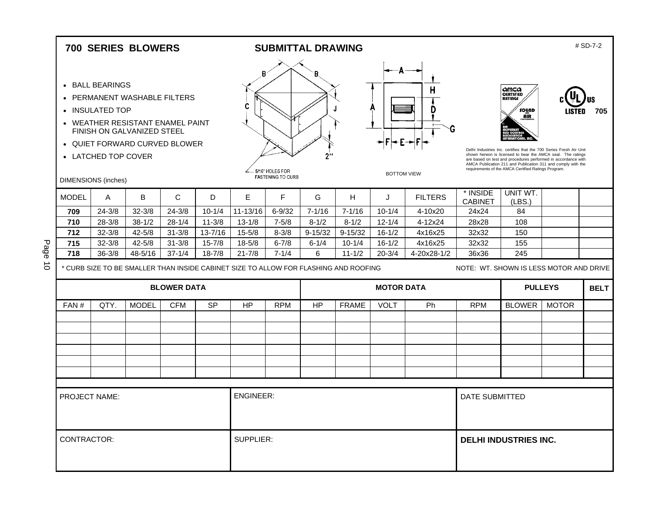|                                            |                                                           | <b>700 SERIES BLOWERS</b>                                                                                                       |                          |                       |                                                                                      |                                             | <b>SUBMITTAL DRAWING</b> |                         |                          |                    |                                         |                                                                                                                                                                                                                                                                                                                                                                                         |              | # SD-7-2    |
|--------------------------------------------|-----------------------------------------------------------|---------------------------------------------------------------------------------------------------------------------------------|--------------------------|-----------------------|--------------------------------------------------------------------------------------|---------------------------------------------|--------------------------|-------------------------|--------------------------|--------------------|-----------------------------------------|-----------------------------------------------------------------------------------------------------------------------------------------------------------------------------------------------------------------------------------------------------------------------------------------------------------------------------------------------------------------------------------------|--------------|-------------|
|                                            | • BALL BEARINGS<br>• INSULATED TOP<br>• LATCHED TOP COVER | • PERMANENT WASHABLE FILTERS<br>• WEATHER RESISTANT ENAMEL PAINT<br>FINISH ON GALVANIZED STEEL<br>• QUIET FORWARD CURVED BLOWER |                          |                       | B<br>C                                                                               | 5/16" HOLES FOR<br><b>FASTENING TO CURB</b> | В<br>$2^{\prime\prime}$  |                         | <b>BOTTOM VIEW</b>       | п                  |                                         | amca<br><b>CERTIFIED</b><br><b>RATINGS</b><br>sound<br>AIR<br>Delhi Industries Inc. certifies that the 700 Series Fresh Air Unit<br>shown hereon is licensed to bear the AMCA seal. The ratings<br>are based on test and procedures performed in accordance with<br>AMCA Publication 211 and Publication 311 and comply with the<br>requirements of the AMCA Certified Ratings Program. |              | 705         |
| <b>DIMENSIONS</b> (inches)<br><b>MODEL</b> |                                                           | B                                                                                                                               | C                        | D                     | E                                                                                    | F                                           | G                        | н                       |                          | <b>FILTERS</b>     | * INSIDE                                | UNIT WT.                                                                                                                                                                                                                                                                                                                                                                                |              |             |
|                                            | A                                                         |                                                                                                                                 |                          |                       |                                                                                      |                                             |                          |                         | J                        |                    | <b>CABINET</b>                          | (LES.)                                                                                                                                                                                                                                                                                                                                                                                  |              |             |
| 709<br>710                                 | $24 - 3/8$                                                | $32 - 3/8$<br>$38 - 1/2$                                                                                                        | $24 - 3/8$<br>$28 - 1/4$ | $10 - 1/4$            | 11-13/16                                                                             | $6 - 9/32$                                  | $7 - 1/16$               | $7 - 1/16$<br>$8 - 1/2$ | $10 - 1/4$<br>$12 - 1/4$ | 4-10x20<br>4-12x24 | 24x24<br>28x28                          | 84<br>108                                                                                                                                                                                                                                                                                                                                                                               |              |             |
| 712                                        | $28 - 3/8$<br>$32 - 3/8$                                  | $42 - 5/8$                                                                                                                      | $31 - 3/8$               | $11 - 3/8$<br>13-7/16 | $13 - 1/8$<br>$15 - 5/8$                                                             | $7 - 5/8$<br>$8 - 3/8$                      | $8 - 1/2$<br>$9 - 15/32$ | $9 - 15/32$             | $16 - 1/2$               | 4x16x25            | 32x32                                   | 150                                                                                                                                                                                                                                                                                                                                                                                     |              |             |
| 715                                        | $32 - 3/8$                                                | $42 - 5/8$                                                                                                                      | $31 - 3/8$               | $15 - 7/8$            | $18 - 5/8$                                                                           | $6 - 7/8$                                   | $6 - 1/4$                | $10 - 1/4$              | $16 - 1/2$               | 4x16x25            | 32x32                                   | 155                                                                                                                                                                                                                                                                                                                                                                                     |              |             |
| 718                                        | $36 - 3/8$                                                | 48-5/16                                                                                                                         | $37 - 1/4$               | $18 - 7/8$            | $21 - 7/8$                                                                           | $7 - 1/4$                                   | 6                        | $11 - 1/2$              | $20 - 3/4$               | 4-20x28-1/2        | 36x36                                   | 245                                                                                                                                                                                                                                                                                                                                                                                     |              |             |
|                                            |                                                           |                                                                                                                                 |                          |                       | * CURB SIZE TO BE SMALLER THAN INSIDE CABINET SIZE TO ALLOW FOR FLASHING AND ROOFING |                                             |                          |                         |                          |                    | NOTE: WT. SHOWN IS LESS MOTOR AND DRIVE |                                                                                                                                                                                                                                                                                                                                                                                         |              |             |
|                                            |                                                           |                                                                                                                                 |                          |                       |                                                                                      |                                             |                          |                         |                          |                    |                                         |                                                                                                                                                                                                                                                                                                                                                                                         |              |             |
|                                            |                                                           |                                                                                                                                 | <b>BLOWER DATA</b>       |                       |                                                                                      |                                             |                          |                         | <b>MOTOR DATA</b>        |                    |                                         | <b>PULLEYS</b>                                                                                                                                                                                                                                                                                                                                                                          |              | <b>BELT</b> |
| FAN#                                       | QTY.                                                      | <b>MODEL</b>                                                                                                                    | <b>CFM</b>               | <b>SP</b>             | <b>HP</b>                                                                            | <b>RPM</b>                                  | HP                       | <b>FRAME</b>            | <b>VOLT</b>              | Ph                 | <b>RPM</b>                              | <b>BLOWER</b>                                                                                                                                                                                                                                                                                                                                                                           | <b>MOTOR</b> |             |
|                                            |                                                           |                                                                                                                                 |                          |                       |                                                                                      |                                             |                          |                         |                          |                    |                                         |                                                                                                                                                                                                                                                                                                                                                                                         |              |             |
|                                            |                                                           |                                                                                                                                 |                          |                       |                                                                                      |                                             |                          |                         |                          |                    |                                         |                                                                                                                                                                                                                                                                                                                                                                                         |              |             |
|                                            |                                                           |                                                                                                                                 |                          |                       |                                                                                      |                                             |                          |                         |                          |                    |                                         |                                                                                                                                                                                                                                                                                                                                                                                         |              |             |
|                                            |                                                           |                                                                                                                                 |                          |                       |                                                                                      |                                             |                          |                         |                          |                    |                                         |                                                                                                                                                                                                                                                                                                                                                                                         |              |             |
|                                            |                                                           |                                                                                                                                 |                          |                       |                                                                                      |                                             |                          |                         |                          |                    |                                         |                                                                                                                                                                                                                                                                                                                                                                                         |              |             |
|                                            |                                                           |                                                                                                                                 |                          |                       |                                                                                      |                                             |                          |                         |                          |                    |                                         |                                                                                                                                                                                                                                                                                                                                                                                         |              |             |
|                                            |                                                           |                                                                                                                                 |                          |                       |                                                                                      |                                             |                          |                         |                          |                    |                                         |                                                                                                                                                                                                                                                                                                                                                                                         |              |             |
| <b>PROJECT NAME:</b>                       |                                                           |                                                                                                                                 |                          |                       | <b>ENGINEER:</b>                                                                     |                                             |                          |                         |                          |                    | <b>DATE SUBMITTED</b>                   |                                                                                                                                                                                                                                                                                                                                                                                         |              |             |
| CONTRACTOR:                                |                                                           |                                                                                                                                 |                          |                       | SUPPLIER:                                                                            |                                             |                          |                         |                          |                    |                                         | <b>DELHI INDUSTRIES INC.</b>                                                                                                                                                                                                                                                                                                                                                            |              |             |

Page 10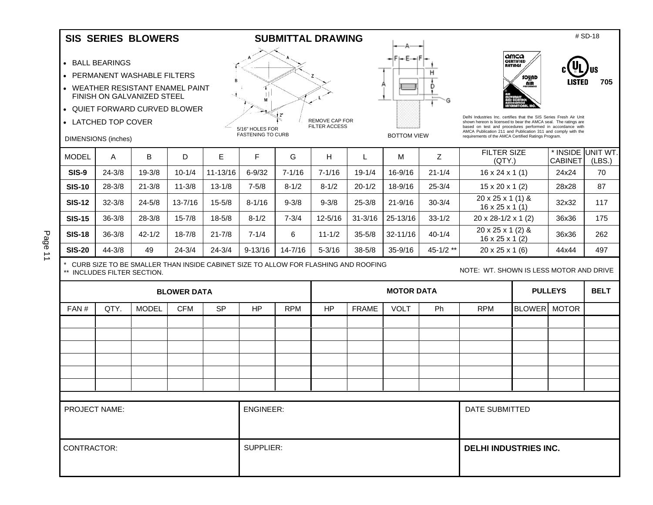#### SIS SERIES BLOWERS SUBMITTAL DRAWING **SUBMITTAL SUBMITTAL SUBMITTAL SUBMITTAL** BRAWING

- BALL BEARINGS
- PERMANENT WASHABLE FILTERS
- WEATHER RESISTANT ENAMEL PAINT FINISH ON GALVANIZED STEEL
- QUIET FORWARD CURVED BLOWER
- LATCHED TOP COVER

DIMENSIONS (inches)

#### B T L M √ 2\* REMOVE CAP FOR FILTER ACCESS 5/16" HOLES FOR **FASTENING TO CURB**





Delhi Industries Inc. certifies that the SIS Series Fresh Air Unit shown hereon is licensed to bear the AMCA seal. The ratings are based on test and procedures performed in accordance with AMCA Publication 211 and Publication 311 and comply with the requirements of the AMCA Certified Ratings Program.

| <b>MODEL</b>  | А          | B          | D           | E            | F           | G          | н           |             | М            |               | <b>FILTER SIZE</b><br>(QTY)                                 | <b>CABINET</b> | * INSIDE UNIT WT.<br>(LES.) |
|---------------|------------|------------|-------------|--------------|-------------|------------|-------------|-------------|--------------|---------------|-------------------------------------------------------------|----------------|-----------------------------|
| <b>SIS-9</b>  | $24 - 3/8$ | $19 - 3/8$ | $10 - 1/4$  | $11 - 13/16$ | $6 - 9/32$  | $7 - 1/16$ | $7 - 1/16$  | $19 - 1/4$  | 16-9/16      | $21 - 1/4$    | $16 \times 24 \times 1(1)$                                  | 24x24          | 70                          |
| <b>SIS-10</b> | $28 - 3/8$ | $21 - 3/8$ | $11 - 3/8$  | $13 - 1/8$   | $7 - 5/8$   | $8 - 1/2$  | $8 - 1/2$   | $20 - 1/2$  | 18-9/16      | $25 - 3/4$    | $15 \times 20 \times 1$ (2)                                 | 28x28          | 87                          |
| <b>SIS-12</b> | $32 - 3/8$ | $24 - 5/8$ | $13 - 7/16$ | $15 - 5/8$   | $8 - 1/16$  | $9 - 3/8$  | $9 - 3/8$   | $25 - 3/8$  | $21 - 9/16$  | $30 - 3/4$    | $20 \times 25 \times 1$ (1) &<br>$16 \times 25 \times 1(1)$ | 32x32          | 117                         |
| <b>SIS-15</b> | $36 - 3/8$ | $28 - 3/8$ | $15 - 7/8$  | $18 - 5/8$   | $8 - 1/2$   | $7 - 3/4$  | $12 - 5/16$ | $31 - 3/16$ | 25-13/16     | $33 - 1/2$    | $20 \times 28 - 1/2 \times 1$ (2)                           | 36x36          | 175                         |
| <b>SIS-18</b> | $36 - 3/8$ | $42 - 1/2$ | $18 - 7/8$  | $21 - 7/8$   | $7 - 1/4$   | 6          | $11 - 1/2$  | $35 - 5/8$  | $32 - 11/16$ | $40 - 1/4$    | 20 x 25 x 1 (2) &<br>$16 \times 25 \times 1$ (2)            | 36x36          | 262                         |
| <b>SIS-20</b> | $44 - 3/8$ | 49         | $24 - 3/4$  | $24 - 3/4$   | $9 - 13/16$ | 14-7/16    | $5 - 3/16$  | $38 - 5/8$  | 35-9/16      | $45 - 1/2$ ** | $20 \times 25 \times 1$ (6)                                 | 44x44          | 497                         |

Page 11

\* CURB SIZE TO BE SMALLER THAN INSIDE CABINET SIZE TO ALLOW FOR FLASHING AND ROOFING \*\* INCLUDES FILTER SECTION.

|                      |      |              | <b>BLOWER DATA</b> |           |                  |            |           |              | <b>MOTOR DATA</b> |    |                              |              | <b>PULLEYS</b> | <b>BELT</b> |
|----------------------|------|--------------|--------------------|-----------|------------------|------------|-----------|--------------|-------------------|----|------------------------------|--------------|----------------|-------------|
| FAN#                 | QTY. | <b>MODEL</b> | <b>CFM</b>         | <b>SP</b> | <b>HP</b>        | <b>RPM</b> | <b>HP</b> | <b>FRAME</b> | <b>VOLT</b>       | Ph | <b>RPM</b>                   | BLOWER MOTOR |                |             |
|                      |      |              |                    |           |                  |            |           |              |                   |    |                              |              |                |             |
|                      |      |              |                    |           |                  |            |           |              |                   |    |                              |              |                |             |
|                      |      |              |                    |           |                  |            |           |              |                   |    |                              |              |                |             |
|                      |      |              |                    |           |                  |            |           |              |                   |    |                              |              |                |             |
|                      |      |              |                    |           |                  |            |           |              |                   |    |                              |              |                |             |
|                      |      |              |                    |           |                  |            |           |              |                   |    |                              |              |                |             |
|                      |      |              |                    |           |                  |            |           |              |                   |    |                              |              |                |             |
| <b>PROJECT NAME:</b> |      |              |                    |           | <b>ENGINEER:</b> |            |           |              |                   |    | DATE SUBMITTED               |              |                |             |
| CONTRACTOR:          |      |              |                    |           | SUPPLIER:        |            |           |              |                   |    | <b>DELHI INDUSTRIES INC.</b> |              |                |             |